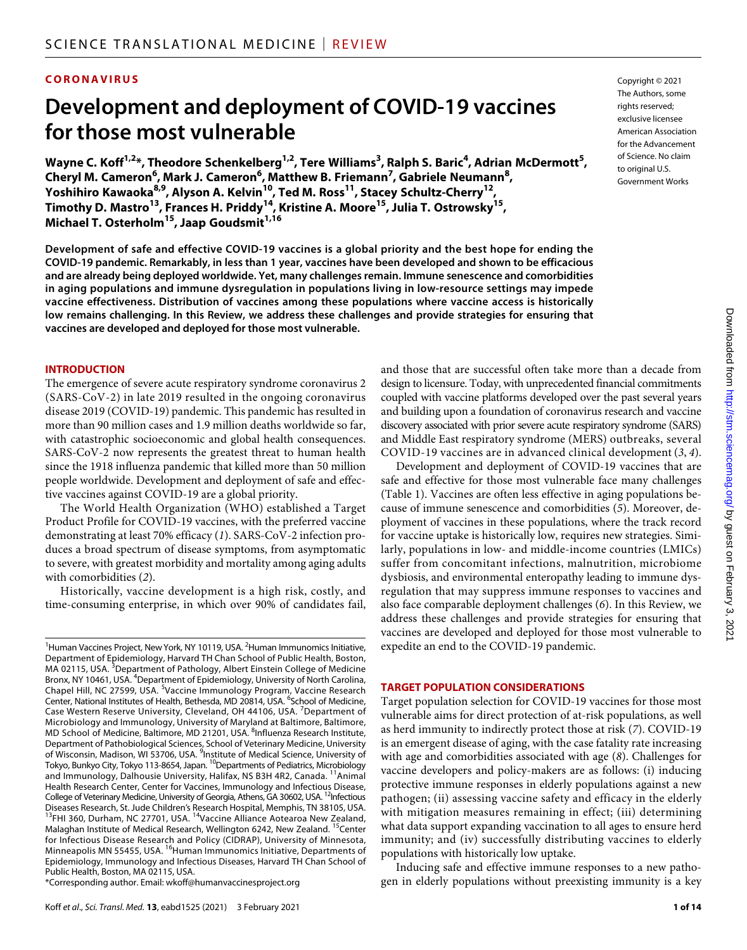## **CORONAVIRUS**

# **Development and deployment of COVID-19 vaccines forthose most vulnerable**

Wayne C. Koff<sup>1,2</sup>\*, Theodore Schenkelberg<sup>1,2</sup>, Tere Williams<sup>3</sup>, Ralph S. Baric<sup>4</sup>, Adrian McDermott<sup>5</sup>, **Cheryl M. Cameron<sup>6</sup> , Mark J. Cameron6 , Matthew B. Friemann7 , Gabriele Neumann8 , Yoshihiro Kawaoka8,9, Alyson A. Kelvin10, Ted M. Ross11, Stacey Schultz-Cherry12, Timothy D. Mastro13, Frances H. Priddy14, Kristine A. Moore15, Julia T. Ostrowsky15, Michael T. Osterholm<sup>15</sup>, Jaap Goudsmit**<sup>1,16</sup>

**Development of safe and effective COVID-19 vaccines is a global priority and the best hope for ending the COVID-19 pandemic. Remarkably, in less than 1 year, vaccines have been developed and shown to be efficacious and are already being deployed worldwide. Yet, many challenges remain. Immune senescence and comorbidities in aging populations and immune dysregulation in populations living in low-resource settings may impede vaccine effectiveness. Distribution of vaccines among these populations where vaccine access is historically low remains challenging. In this Review, we address these challenges and provide strategies for ensuring that vaccines are developed and deployed for those most vulnerable.**

#### **INTRODUCTION**

The emergence of severe acute respiratory syndrome coronavirus 2 (SARS-CoV-2) in late 2019 resulted in the ongoing coronavirus disease 2019 (COVID-19) pandemic. This pandemic has resulted in more than 90 million cases and 1.9 million deaths worldwide so far, with catastrophic socioeconomic and global health consequences. SARS-CoV-2 now represents the greatest threat to human health since the 1918 influenza pandemic that killed more than 50 million people worldwide. Development and deployment of safe and effective vaccines against COVID-19 are a global priority.

The World Health Organization (WHO) established a Target Product Profile for COVID-19 vaccines, with the preferred vaccine demonstrating at least 70% efficacy (*1*). SARS-CoV-2 infection produces a broad spectrum of disease symptoms, from asymptomatic to severe, with greatest morbidity and mortality among aging adults with comorbidities (*2*).

Historically, vaccine development is a high risk, costly, and time-consuming enterprise, in which over 90% of candidates fail, Copyright © 2021 The Authors, some rights reserved: exclusive licensee American Association for the Advancement of Science. No claim to original U.S. Government Works

and those that are successful often take more than a decade from design to licensure. Today, with unprecedented financial commitments coupled with vaccine platforms developed over the past several years and building upon a foundation of coronavirus research and vaccine discovery associated with prior severe acute respiratory syndrome (SARS) and Middle East respiratory syndrome (MERS) outbreaks, several COVID-19 vaccines are in advanced clinical development (*3*, *4*).

Development and deployment of COVID-19 vaccines that are safe and effective for those most vulnerable face many challenges (Table 1). Vaccines are often less effective in aging populations because of immune senescence and comorbidities (*5*). Moreover, deployment of vaccines in these populations, where the track record for vaccine uptake is historically low, requires new strategies. Similarly, populations in low- and middle-income countries (LMICs) suffer from concomitant infections, malnutrition, microbiome dysbiosis, and environmental enteropathy leading to immune dysregulation that may suppress immune responses to vaccines and also face comparable deployment challenges (*6*). In this Review, we address these challenges and provide strategies for ensuring that vaccines are developed and deployed for those most vulnerable to expedite an end to the COVID-19 pandemic.

#### **TARGET POPULATION CONSIDERATIONS**

Target population selection for COVID-19 vaccines for those most vulnerable aims for direct protection of at-risk populations, as well as herd immunity to indirectly protect those at risk (*7*). COVID-19 is an emergent disease of aging, with the case fatality rate increasing with age and comorbidities associated with age (*8*). Challenges for vaccine developers and policy-makers are as follows: (i) inducing protective immune responses in elderly populations against a new pathogen; (ii) assessing vaccine safety and efficacy in the elderly with mitigation measures remaining in effect; (iii) determining what data support expanding vaccination to all ages to ensure herd immunity; and (iv) successfully distributing vaccines to elderly populations with historically low uptake.

Inducing safe and effective immune responses to a new pathogen in elderly populations without preexisting immunity is a key

<sup>&</sup>lt;sup>1</sup>Human Vaccines Project, New York, NY 10119, USA. <sup>2</sup>Human Immunomics Initiative, Department of Epidemiology, Harvard TH Chan School of Public Health, Boston, MA 02115, USA. <sup>3</sup>Department of Pathology, Albert Einstein College of Medicine Bronx, NY 10461, USA. <sup>4</sup>Department of Epidemiology, University of North Carolina, Chapel Hill, NC 27599, USA. <sup>5</sup>Vaccine Immunology Program, Vaccine Research Center, National Institutes of Health, Bethesda, MD 20814, USA. <sup>6</sup>School of Medicine, Case Western Reserve University, Cleveland, OH 44106, USA. <sup>7</sup>Department of Microbiology and Immunology, University of Maryland at Baltimore, Baltimore, MD School of Medicine, Baltimore, MD 21201, USA. <sup>8</sup>Influenza Research Institute, Department of Pathobiological Sciences, School of Veterinary Medicine, University of Wisconsin, Madison, WI 53706, USA. <sup>9</sup>Institute of Medical Science, University of Tokyo, Bunkyo City, Tokyo 113-8654, Japan. <sup>10</sup>Departments of Pediatrics, Microbiology and Immunology, Dalhousie University, Halifax, NS B3H 4R2, Canada. <sup>11</sup>Animal Health Research Center, Center for Vaccines, Immunology and Infectious Disease, College of Veterinary Medicine, University of Georgia, Athens, GA 30602, USA. <sup>12</sup>Infectious Diseases Research, St. Jude Children's Research Hospital, Memphis, TN 38105, USA. <sup>13</sup>FHI 360, Durham, NC 27701, USA. <sup>14</sup>Vaccine Alliance Aotearoa New Zealand, Malaghan Institute of Medical Research, Wellington 6242, New Zealand. <sup>15</sup>Center for Infectious Disease Research and Policy (CIDRAP), University of Minnesota, Minneapolis MN 55455, USA. <sup>16</sup>Human Immunomics Initiative, Departments of Epidemiology, Immunology and Infectious Diseases, Harvard TH Chan School of Public Health, Boston, MA 02115, USA.

<sup>\*</sup>Corresponding author. Email: wkoff@humanvaccinesproject.org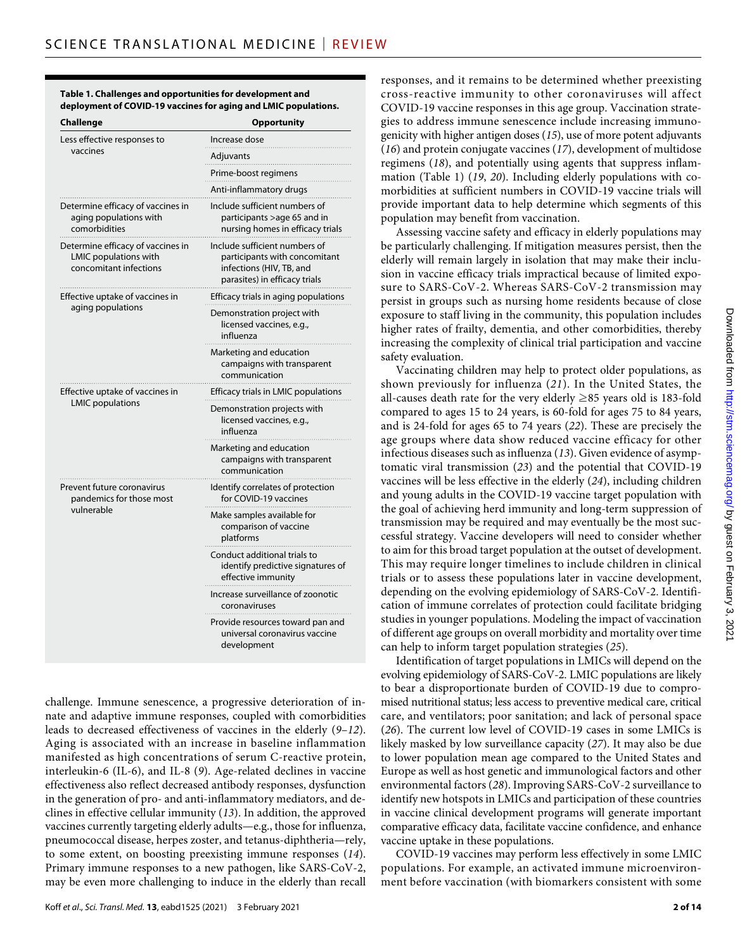| Table 1. Challenges and opportunities for development and       |  |
|-----------------------------------------------------------------|--|
| deployment of COVID-19 vaccines for aging and LMIC populations. |  |

| Challenge                                                                                   | <b>Opportunity</b>                                                                                                          |
|---------------------------------------------------------------------------------------------|-----------------------------------------------------------------------------------------------------------------------------|
| Less effective responses to                                                                 | Increase dose                                                                                                               |
| vaccines                                                                                    | Adjuvants                                                                                                                   |
|                                                                                             | Prime-boost regimens                                                                                                        |
|                                                                                             | Anti-inflammatory drugs                                                                                                     |
| Determine efficacy of vaccines in<br>aging populations with<br>comorbidities                | Include sufficient numbers of<br>participants >age 65 and in<br>nursing homes in efficacy trials                            |
| Determine efficacy of vaccines in<br><b>LMIC</b> populations with<br>concomitant infections | Include sufficient numbers of<br>participants with concomitant<br>infections (HIV, TB, and<br>parasites) in efficacy trials |
| Effective uptake of vaccines in                                                             | Efficacy trials in aging populations                                                                                        |
| aging populations                                                                           | Demonstration project with<br>licensed vaccines, e.g.,<br>influenza                                                         |
|                                                                                             | Marketing and education<br>campaigns with transparent<br>communication                                                      |
| Effective uptake of vaccines in<br><b>LMIC</b> populations                                  | Efficacy trials in LMIC populations                                                                                         |
|                                                                                             | Demonstration projects with<br>licensed vaccines, e.g.,<br>influenza                                                        |
|                                                                                             | Marketing and education<br>campaigns with transparent<br>communication                                                      |
| Prevent future coronavirus<br>pandemics for those most                                      | Identify correlates of protection<br>for COVID-19 vaccines                                                                  |
| vulnerable                                                                                  | Make samples available for<br>comparison of vaccine<br>platforms                                                            |
|                                                                                             | Conduct additional trials to<br>identify predictive signatures of<br>effective immunity                                     |
|                                                                                             | Increase surveillance of zoonotic<br>coronaviruses                                                                          |
|                                                                                             | Provide resources toward pan and<br>universal coronavirus vaccine<br>development                                            |

challenge. Immune senescence, a progressive deterioration of innate and adaptive immune responses, coupled with comorbidities leads to decreased effectiveness of vaccines in the elderly (*9*–*12*). Aging is associated with an increase in baseline inflammation manifested as high concentrations of serum C-reactive protein, interleukin-6 (IL-6), and IL-8 (*9*). Age-related declines in vaccine effectiveness also reflect decreased antibody responses, dysfunction in the generation of pro- and anti-inflammatory mediators, and declines in effective cellular immunity (*13*). In addition, the approved vaccines currently targeting elderly adults—e.g., those for influenza, pneumococcal disease, herpes zoster, and tetanus-diphtheria—rely, to some extent, on boosting preexisting immune responses (*14*). Primary immune responses to a new pathogen, like SARS-CoV-2, may be even more challenging to induce in the elderly than recall

Koff *et al*., *Sci. Transl. Med.* **13**, eabd1525 (2021) 3 February 2021

responses, and it remains to be determined whether preexisting cross-reactive immunity to other coronaviruses will affect COVID-19 vaccine responses in this age group. Vaccination strategies to address immune senescence include increasing immunogenicity with higher antigen doses (*15*), use of more potent adjuvants (*16*) and protein conjugate vaccines (*17*), development of multidose regimens (*18*), and potentially using agents that suppress inflammation (Table 1) (*19*, *20*). Including elderly populations with comorbidities at sufficient numbers in COVID-19 vaccine trials will provide important data to help determine which segments of this population may benefit from vaccination.

Assessing vaccine safety and efficacy in elderly populations may be particularly challenging. If mitigation measures persist, then the elderly will remain largely in isolation that may make their inclusion in vaccine efficacy trials impractical because of limited exposure to SARS-CoV-2. Whereas SARS-CoV-2 transmission may persist in groups such as nursing home residents because of close exposure to staff living in the community, this population includes higher rates of frailty, dementia, and other comorbidities, thereby increasing the complexity of clinical trial participation and vaccine safety evaluation.

Vaccinating children may help to protect older populations, as shown previously for influenza (*21*). In the United States, the all-causes death rate for the very elderly ≥85 years old is 183-fold compared to ages 15 to 24 years, is 60-fold for ages 75 to 84 years, and is 24-fold for ages 65 to 74 years (*22*). These are precisely the age groups where data show reduced vaccine efficacy for other infectious diseases such as influenza (*13*). Given evidence of asymptomatic viral transmission (*23*) and the potential that COVID-19 vaccines will be less effective in the elderly (*24*), including children and young adults in the COVID-19 vaccine target population with the goal of achieving herd immunity and long-term suppression of transmission may be required and may eventually be the most successful strategy. Vaccine developers will need to consider whether to aim for this broad target population at the outset of development. This may require longer timelines to include children in clinical trials or to assess these populations later in vaccine development, depending on the evolving epidemiology of SARS-CoV-2. Identification of immune correlates of protection could facilitate bridging studies in younger populations. Modeling the impact of vaccination of different age groups on overall morbidity and mortality over time can help to inform target population strategies (*25*).

Identification of target populations in LMICs will depend on the evolving epidemiology of SARS-CoV-2. LMIC populations are likely to bear a disproportionate burden of COVID-19 due to compromised nutritional status; less access to preventive medical care, critical care, and ventilators; poor sanitation; and lack of personal space (*26*). The current low level of COVID-19 cases in some LMICs is likely masked by low surveillance capacity (*27*). It may also be due to lower population mean age compared to the United States and Europe as well as host genetic and immunological factors and other environmental factors (*28*). Improving SARS-CoV-2 surveillance to identify new hotspots in LMICs and participation of these countries in vaccine clinical development programs will generate important comparative efficacy data, facilitate vaccine confidence, and enhance vaccine uptake in these populations.

COVID-19 vaccines may perform less effectively in some LMIC populations. For example, an activated immune microenvironment before vaccination (with biomarkers consistent with some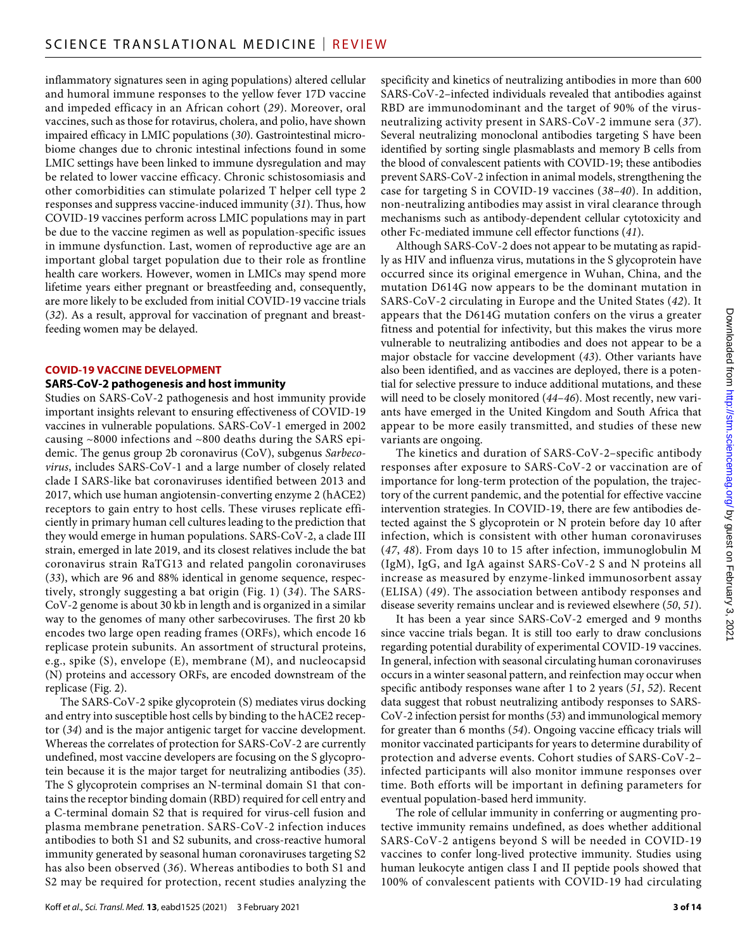inflammatory signatures seen in aging populations) altered cellular and humoral immune responses to the yellow fever 17D vaccine and impeded efficacy in an African cohort (*29*). Moreover, oral vaccines, such as those for rotavirus, cholera, and polio, have shown impaired efficacy in LMIC populations (*30*). Gastrointestinal microbiome changes due to chronic intestinal infections found in some LMIC settings have been linked to immune dysregulation and may be related to lower vaccine efficacy. Chronic schistosomiasis and other comorbidities can stimulate polarized T helper cell type 2 responses and suppress vaccine-induced immunity (*31*). Thus, how COVID-19 vaccines perform across LMIC populations may in part be due to the vaccine regimen as well as population-specific issues in immune dysfunction. Last, women of reproductive age are an important global target population due to their role as frontline health care workers. However, women in LMICs may spend more lifetime years either pregnant or breastfeeding and, consequently, are more likely to be excluded from initial COVID-19 vaccine trials (*32*). As a result, approval for vaccination of pregnant and breastfeeding women may be delayed.

#### **COVID-19 VACCINE DEVELOPMENT**

#### **SARS-CoV-2 pathogenesis and host immunity**

Studies on SARS-CoV-2 pathogenesis and host immunity provide important insights relevant to ensuring effectiveness of COVID-19 vaccines in vulnerable populations. SARS-CoV-1 emerged in 2002 causing ~8000 infections and ~800 deaths during the SARS epidemic. The genus group 2b coronavirus (CoV), subgenus *Sarbecovirus*, includes SARS-CoV-1 and a large number of closely related clade I SARS-like bat coronaviruses identified between 2013 and 2017, which use human angiotensin-converting enzyme 2 (hACE2) receptors to gain entry to host cells. These viruses replicate efficiently in primary human cell cultures leading to the prediction that they would emerge in human populations. SARS-CoV-2, a clade III strain, emerged in late 2019, and its closest relatives include the bat coronavirus strain RaTG13 and related pangolin coronaviruses (*33*), which are 96 and 88% identical in genome sequence, respectively, strongly suggesting a bat origin (Fig. 1) (*34*). The SARS-CoV-2 genome is about 30 kb in length and is organized in a similar way to the genomes of many other sarbecoviruses. The first 20 kb encodes two large open reading frames (ORFs), which encode 16 replicase protein subunits. An assortment of structural proteins, e.g., spike (S), envelope (E), membrane (M), and nucleocapsid (N) proteins and accessory ORFs, are encoded downstream of the replicase (Fig. 2).

The SARS-CoV-2 spike glycoprotein (S) mediates virus docking and entry into susceptible host cells by binding to the hACE2 receptor (*34*) and is the major antigenic target for vaccine development. Whereas the correlates of protection for SARS-CoV-2 are currently undefined, most vaccine developers are focusing on the S glycoprotein because it is the major target for neutralizing antibodies (*35*). The S glycoprotein comprises an N-terminal domain S1 that contains the receptor binding domain (RBD) required for cell entry and a C-terminal domain S2 that is required for virus-cell fusion and plasma membrane penetration. SARS-CoV-2 infection induces antibodies to both S1 and S2 subunits, and cross-reactive humoral immunity generated by seasonal human coronaviruses targeting S2 has also been observed (*36*). Whereas antibodies to both S1 and S2 may be required for protection, recent studies analyzing the

Koff *et al*., *Sci. Transl. Med.* **13**, eabd1525 (2021) 3 February 2021

specificity and kinetics of neutralizing antibodies in more than 600 SARS-CoV-2–infected individuals revealed that antibodies against RBD are immunodominant and the target of 90% of the virusneutralizing activity present in SARS-CoV-2 immune sera (*37*). Several neutralizing monoclonal antibodies targeting S have been identified by sorting single plasmablasts and memory B cells from the blood of convalescent patients with COVID-19; these antibodies prevent SARS-CoV-2 infection in animal models, strengthening the case for targeting S in COVID-19 vaccines (*38*–*40*). In addition, non-neutralizing antibodies may assist in viral clearance through mechanisms such as antibody-dependent cellular cytotoxicity and other Fc-mediated immune cell effector functions (*41*).

Although SARS-CoV-2 does not appear to be mutating as rapidly as HIV and influenza virus, mutations in the S glycoprotein have occurred since its original emergence in Wuhan, China, and the mutation D614G now appears to be the dominant mutation in SARS-CoV-2 circulating in Europe and the United States (*42*). It appears that the D614G mutation confers on the virus a greater fitness and potential for infectivity, but this makes the virus more vulnerable to neutralizing antibodies and does not appear to be a major obstacle for vaccine development (*43*). Other variants have also been identified, and as vaccines are deployed, there is a potential for selective pressure to induce additional mutations, and these will need to be closely monitored (*44*–*46*). Most recently, new variants have emerged in the United Kingdom and South Africa that appear to be more easily transmitted, and studies of these new variants are ongoing.

The kinetics and duration of SARS-CoV-2–specific antibody responses after exposure to SARS-CoV-2 or vaccination are of importance for long-term protection of the population, the trajectory of the current pandemic, and the potential for effective vaccine intervention strategies. In COVID-19, there are few antibodies detected against the S glycoprotein or N protein before day 10 after infection, which is consistent with other human coronaviruses (*47*, *48*). From days 10 to 15 after infection, immunoglobulin M (IgM), IgG, and IgA against SARS-CoV-2 S and N proteins all increase as measured by enzyme-linked immunosorbent assay (ELISA) (*49*). The association between antibody responses and disease severity remains unclear and is reviewed elsewhere (*50*, *51*).

It has been a year since SARS-CoV-2 emerged and 9 months since vaccine trials began. It is still too early to draw conclusions regarding potential durability of experimental COVID-19 vaccines. In general, infection with seasonal circulating human coronaviruses occurs in a winter seasonal pattern, and reinfection may occur when specific antibody responses wane after 1 to 2 years (*51*, *52*). Recent data suggest that robust neutralizing antibody responses to SARS-CoV-2 infection persist for months (*53*) and immunological memory for greater than 6 months (*54*). Ongoing vaccine efficacy trials will monitor vaccinated participants for years to determine durability of protection and adverse events. Cohort studies of SARS-CoV-2– infected participants will also monitor immune responses over time. Both efforts will be important in defining parameters for eventual population-based herd immunity.

The role of cellular immunity in conferring or augmenting protective immunity remains undefined, as does whether additional SARS-CoV-2 antigens beyond S will be needed in COVID-19 vaccines to confer long-lived protective immunity. Studies using human leukocyte antigen class I and II peptide pools showed that 100% of convalescent patients with COVID-19 had circulating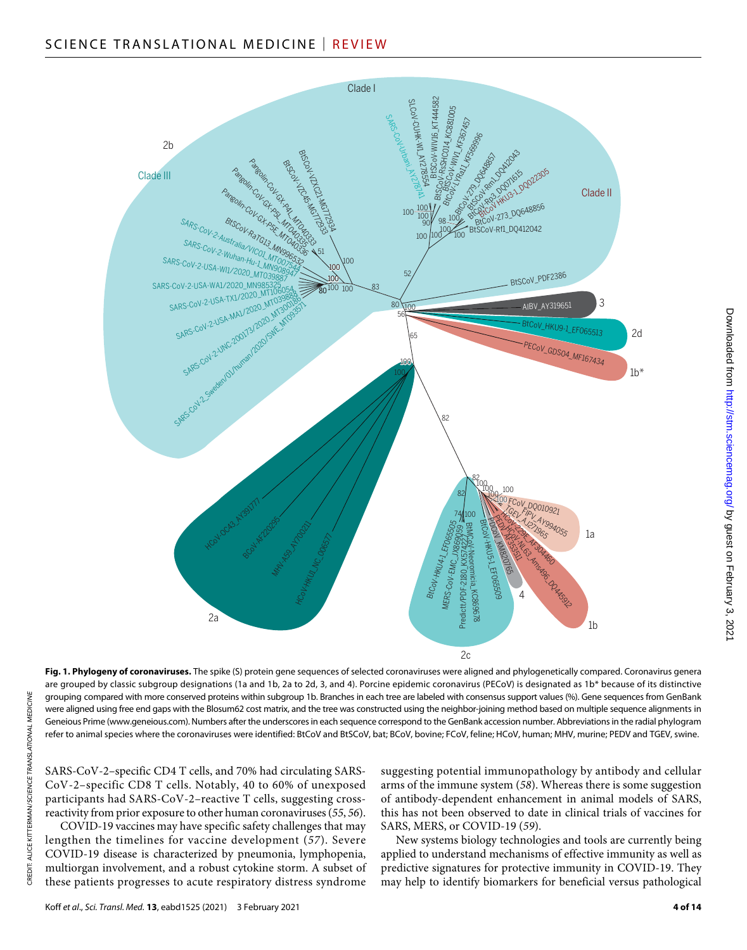

2c **Fig. 1. Phylogeny of coronaviruses.** The spike (S) protein gene sequences of selected coronaviruses were aligned and phylogenetically compared. Coronavirus genera are grouped by classic subgroup designations (1a and 1b, 2a to 2d, 3, and 4). Porcine epidemic coronavirus (PECoV) is designated as 1b\* because of its distinctive grouping compared with more conserved proteins within subgroup 1b. Branches in each tree are labeled with consensus support values (%). Gene sequences from GenBank were aligned using free end gaps with the Blosum62 cost matrix, and the tree was constructed using the neighbor-joining method based on multiple sequence alignments in Geneious Prime [\(www.geneious.com\)](http://www.geneious.com). Numbers after the underscores in each sequence correspond to the GenBank accession number. Abbreviations in the radial phylogram refer to animal species where the coronaviruses were identified: BtCoV and BtSCoV, bat; BCoV, bovine; FCoV, feline; HCoV, human; MHV, murine; PEDV and TGEV, swine.

SARS-CoV-2–specific CD4 T cells, and 70% had circulating SARS-CoV-2–specific CD8 T cells. Notably, 40 to 60% of unexposed participants had SARS-CoV-2–reactive T cells, suggesting crossreactivity from prior exposure to other human coronaviruses (*55*, *56*).

COVID-19 vaccines may have specific safety challenges that may lengthen the timelines for vaccine development (*57*). Severe COVID-19 disease is characterized by pneumonia, lymphopenia, multiorgan involvement, and a robust cytokine storm. A subset of these patients progresses to acute respiratory distress syndrome

suggesting potential immunopathology by antibody and cellular arms of the immune system (*58*). Whereas there is some suggestion of antibody-dependent enhancement in animal models of SARS, this has not been observed to date in clinical trials of vaccines for SARS, MERS, or COVID-19 (*59*).

New systems biology technologies and tools are currently being applied to understand mechanisms of effective immunity as well as predictive signatures for protective immunity in COVID-19. They may help to identify biomarkers for beneficial versus pathological by guest on February 3, 2021 <http://stm.sciencemag.org/> Downloaded from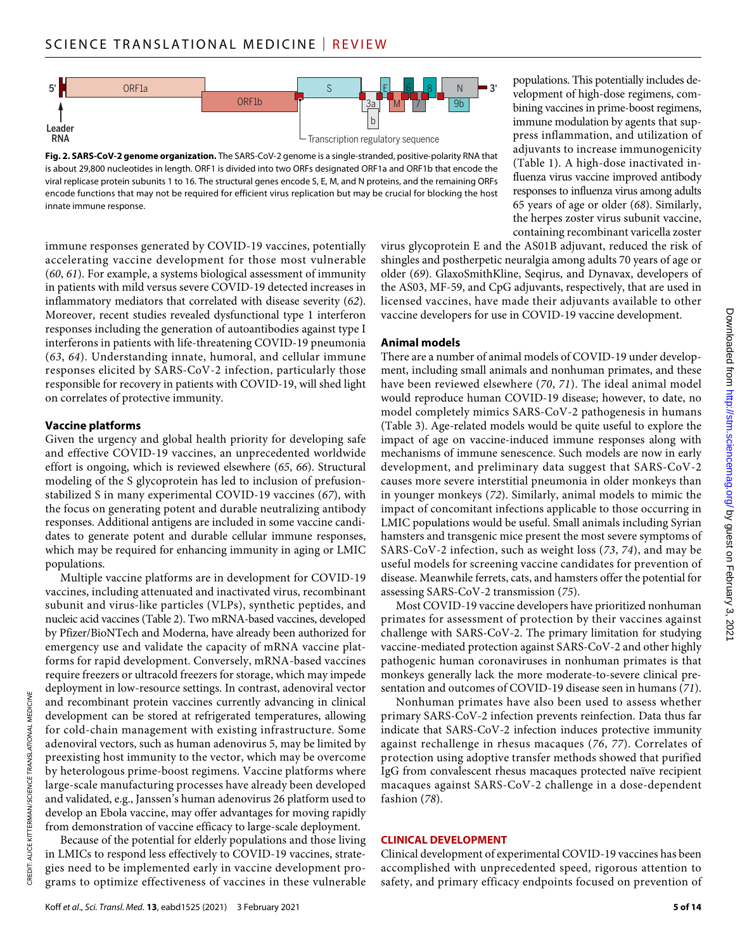

**Fig. 2. SARS-CoV-2 genome organization.** The SARS-CoV-2 genome is a single-stranded, positive-polarity RNA that is about 29,800 nucleotides in length. ORF1 is divided into two ORFs designated ORF1a and ORF1b that encode the viral replicase protein subunits 1 to 16. The structural genes encode S, E, M, and N proteins, and the remaining ORFs encode functions that may not be required for efficient virus replication but may be crucial for blocking the host innate immune response.

immune responses generated by COVID-19 vaccines, potentially accelerating vaccine development for those most vulnerable (*60*, *61*). For example, a systems biological assessment of immunity in patients with mild versus severe COVID-19 detected increases in inflammatory mediators that correlated with disease severity (*62*). Moreover, recent studies revealed dysfunctional type 1 interferon responses including the generation of autoantibodies against type I interferons in patients with life-threatening COVID-19 pneumonia (*63*, *64*). Understanding innate, humoral, and cellular immune responses elicited by SARS-CoV-2 infection, particularly those responsible for recovery in patients with COVID-19, will shed light on correlates of protective immunity.

#### **Vaccine platforms**

Given the urgency and global health priority for developing safe and effective COVID-19 vaccines, an unprecedented worldwide effort is ongoing, which is reviewed elsewhere (*65*, *66*). Structural modeling of the S glycoprotein has led to inclusion of prefusionstabilized S in many experimental COVID-19 vaccines (*67*), with the focus on generating potent and durable neutralizing antibody responses. Additional antigens are included in some vaccine candidates to generate potent and durable cellular immune responses, which may be required for enhancing immunity in aging or LMIC populations.

Multiple vaccine platforms are in development for COVID-19 vaccines, including attenuated and inactivated virus, recombinant subunit and virus-like particles (VLPs), synthetic peptides, and nucleic acid vaccines (Table 2). Two mRNA-based vaccines, developed by Pfizer/BioNTech and Moderna, have already been authorized for emergency use and validate the capacity of mRNA vaccine platforms for rapid development. Conversely, mRNA-based vaccines require freezers or ultracold freezers for storage, which may impede deployment in low-resource settings. In contrast, adenoviral vector and recombinant protein vaccines currently advancing in clinical development can be stored at refrigerated temperatures, allowing for cold-chain management with existing infrastructure. Some adenoviral vectors, such as human adenovirus 5, may be limited by preexisting host immunity to the vector, which may be overcome by heterologous prime-boost regimens. Vaccine platforms where large-scale manufacturing processes have already been developed and validated, e.g., Janssen's human adenovirus 26 platform used to develop an Ebola vaccine, may offer advantages for moving rapidly from demonstration of vaccine efficacy to large-scale deployment.

Because of the potential for elderly populations and those living in LMICs to respond less effectively to COVID-19 vaccines, strategies need to be implemented early in vaccine development programs to optimize effectiveness of vaccines in these vulnerable

populations. This potentially includes development of high-dose regimens, combining vaccines in prime-boost regimens, immune modulation by agents that suppress inflammation, and utilization of adjuvants to increase immunogenicity (Table 1). A high-dose inactivated influenza virus vaccine improved antibody responses to influenza virus among adults 65 years of age or older (*68*). Similarly, the herpes zoster virus subunit vaccine, containing recombinant varicella zoster

virus glycoprotein E and the AS01B adjuvant, reduced the risk of shingles and postherpetic neuralgia among adults 70 years of age or older (*69*). GlaxoSmithKline, Seqirus, and Dynavax, developers of the AS03, MF-59, and CpG adjuvants, respectively, that are used in licensed vaccines, have made their adjuvants available to other vaccine developers for use in COVID-19 vaccine development.

## **Animal models**

There are a number of animal models of COVID-19 under development, including small animals and nonhuman primates, and these have been reviewed elsewhere (*70*, *71*). The ideal animal model would reproduce human COVID-19 disease; however, to date, no model completely mimics SARS-CoV-2 pathogenesis in humans (Table 3). Age-related models would be quite useful to explore the impact of age on vaccine-induced immune responses along with mechanisms of immune senescence. Such models are now in early development, and preliminary data suggest that SARS-CoV-2 causes more severe interstitial pneumonia in older monkeys than in younger monkeys (*72*). Similarly, animal models to mimic the impact of concomitant infections applicable to those occurring in LMIC populations would be useful. Small animals including Syrian hamsters and transgenic mice present the most severe symptoms of SARS-CoV-2 infection, such as weight loss (*73*, *74*), and may be useful models for screening vaccine candidates for prevention of disease. Meanwhile ferrets, cats, and hamsters offer the potential for assessing SARS-CoV-2 transmission (*75*).

Most COVID-19 vaccine developers have prioritized nonhuman primates for assessment of protection by their vaccines against challenge with SARS-CoV-2. The primary limitation for studying vaccine-mediated protection against SARS-CoV-2 and other highly pathogenic human coronaviruses in nonhuman primates is that monkeys generally lack the more moderate-to-severe clinical presentation and outcomes of COVID-19 disease seen in humans (*71*).

Nonhuman primates have also been used to assess whether primary SARS-CoV-2 infection prevents reinfection. Data thus far indicate that SARS-CoV-2 infection induces protective immunity against rechallenge in rhesus macaques (*76*, *77*). Correlates of protection using adoptive transfer methods showed that purified IgG from convalescent rhesus macaques protected naïve recipient macaques against SARS-CoV-2 challenge in a dose-dependent fashion (*78*).

## **CLINICAL DEVELOPMENT**

Clinical development of experimental COVID-19 vaccines has been accomplished with unprecedented speed, rigorous attention to safety, and primary efficacy endpoints focused on prevention of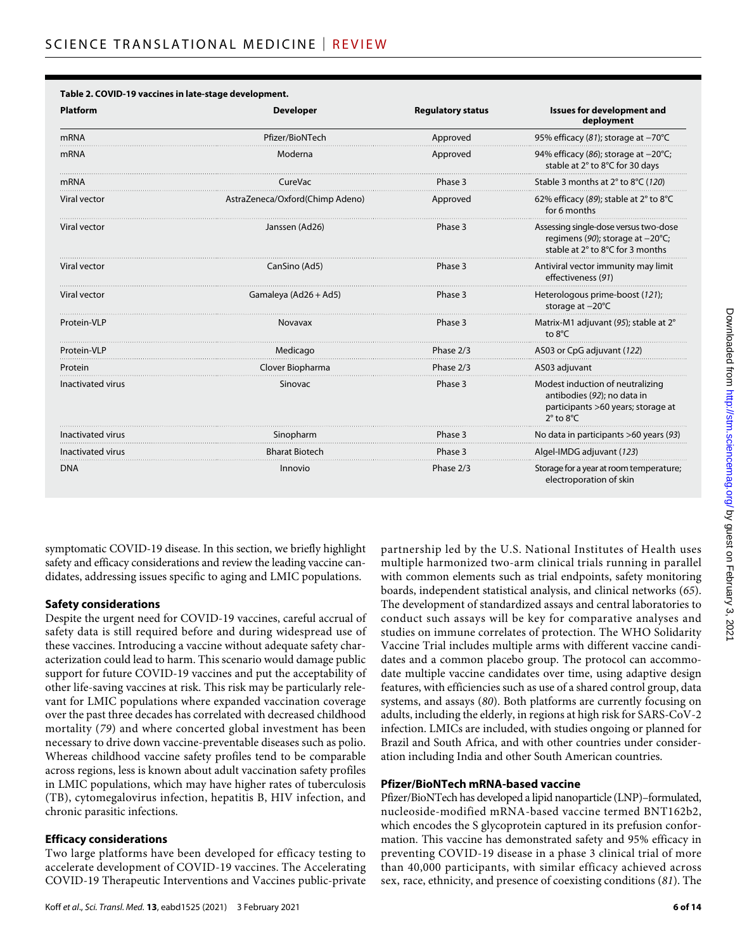| <b>Platform</b>     | <b>Developer</b>                | <b>Regulatory status</b> | <b>Issues for development and</b><br>deployment                                                                                       |
|---------------------|---------------------------------|--------------------------|---------------------------------------------------------------------------------------------------------------------------------------|
| <b>mRNA</b>         | Pfizer/BioNTech                 | Approved                 | 95% efficacy (81); storage at $-70^{\circ}$ C                                                                                         |
| mRNA                | Moderna                         | Approved                 | 94% efficacy (86); storage at -20°C;<br>stable at 2° to 8°C for 30 days                                                               |
| <b>mRNA</b>         | CureVac                         | Phase 3                  | Stable 3 months at 2° to 8°C (120)                                                                                                    |
| Viral vector        | AstraZeneca/Oxford(Chimp Adeno) | Approved                 | 62% efficacy (89); stable at 2° to 8°C<br>for 6 months                                                                                |
| <b>Viral vector</b> | Janssen (Ad26)                  | Phase 3                  | Assessing single-dose versus two-dose<br>regimens (90); storage at -20°C;<br>stable at 2° to 8°C for 3 months                         |
| Viral vector        | CanSino (Ad5)                   | Phase 3                  | Antiviral vector immunity may limit<br>effectiveness (91)                                                                             |
| Viral vector        | Gamaleya (Ad26 + Ad5)           | Phase 3                  | Heterologous prime-boost (121);<br>storage at $-20^{\circ}$ C                                                                         |
| Protein-VLP         | Novavax                         | Phase 3                  | Matrix-M1 adjuvant (95); stable at 2°<br>to 8°C                                                                                       |
| Protein-VLP         | Medicago                        | Phase 2/3                | AS03 or CpG adjuvant (122)                                                                                                            |
| Protein             | Clover Biopharma                | Phase 2/3                | AS03 adjuvant                                                                                                                         |
| Inactivated virus   | Sinovac                         | Phase 3                  | Modest induction of neutralizing<br>antibodies (92); no data in<br>participants >60 years; storage at<br>$2^{\circ}$ to $8^{\circ}$ C |
| Inactivated virus   | Sinopharm                       | Phase 3                  | No data in participants >60 years (93)                                                                                                |
| Inactivated virus   | <b>Bharat Biotech</b>           | Phase 3                  | Algel-IMDG adjuvant (123)                                                                                                             |
| <b>DNA</b>          | Innovio                         | Phase 2/3                | Storage for a year at room temperature;<br>electroporation of skin                                                                    |

# **Table 2. COVID-19 vaccines in late-stage development.**

symptomatic COVID-19 disease. In this section, we briefly highlight safety and efficacy considerations and review the leading vaccine candidates, addressing issues specific to aging and LMIC populations.

## **Safety considerations**

Despite the urgent need for COVID-19 vaccines, careful accrual of safety data is still required before and during widespread use of these vaccines. Introducing a vaccine without adequate safety characterization could lead to harm. This scenario would damage public support for future COVID-19 vaccines and put the acceptability of other life-saving vaccines at risk. This risk may be particularly relevant for LMIC populations where expanded vaccination coverage over the past three decades has correlated with decreased childhood mortality (*79*) and where concerted global investment has been necessary to drive down vaccine-preventable diseases such as polio. Whereas childhood vaccine safety profiles tend to be comparable across regions, less is known about adult vaccination safety profiles in LMIC populations, which may have higher rates of tuberculosis (TB), cytomegalovirus infection, hepatitis B, HIV infection, and chronic parasitic infections.

## **Efficacy considerations**

Two large platforms have been developed for efficacy testing to accelerate development of COVID-19 vaccines. The Accelerating COVID-19 Therapeutic Interventions and Vaccines public-private partnership led by the U.S. National Institutes of Health uses multiple harmonized two-arm clinical trials running in parallel with common elements such as trial endpoints, safety monitoring boards, independent statistical analysis, and clinical networks (*65*). The development of standardized assays and central laboratories to conduct such assays will be key for comparative analyses and studies on immune correlates of protection. The WHO Solidarity Vaccine Trial includes multiple arms with different vaccine candidates and a common placebo group. The protocol can accommodate multiple vaccine candidates over time, using adaptive design features, with efficiencies such as use of a shared control group, data systems, and assays (*80*). Both platforms are currently focusing on adults, including the elderly, in regions at high risk for SARS-CoV-2 infection. LMICs are included, with studies ongoing or planned for Brazil and South Africa, and with other countries under consideration including India and other South American countries.

## **Pfizer/BioNTech mRNA-based vaccine**

Pfizer/BioNTech has developed a lipid nanoparticle (LNP)–formulated, nucleoside-modified mRNA-based vaccine termed BNT162b2, which encodes the S glycoprotein captured in its prefusion conformation. This vaccine has demonstrated safety and 95% efficacy in preventing COVID-19 disease in a phase 3 clinical trial of more than 40,000 participants, with similar efficacy achieved across sex, race, ethnicity, and presence of coexisting conditions (*81*). The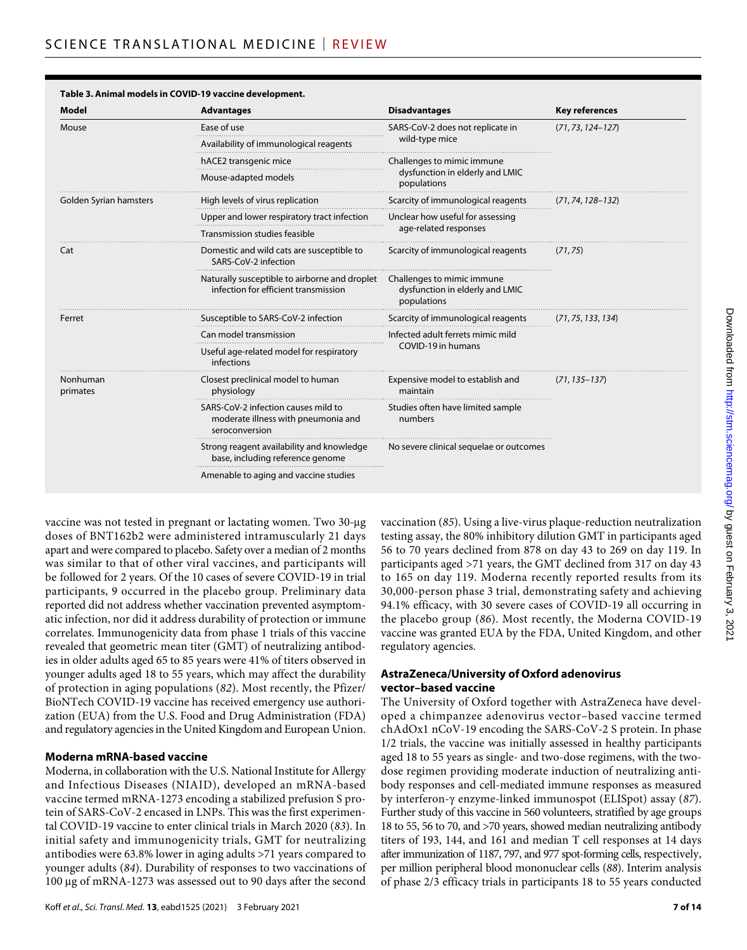| <b>Model</b>           | <b>Advantages</b>                                                                            | <b>Disadvantages</b>                                                         | <b>Key references</b> |
|------------------------|----------------------------------------------------------------------------------------------|------------------------------------------------------------------------------|-----------------------|
| Mouse                  | Ease of use                                                                                  | SARS-CoV-2 does not replicate in                                             | $(71, 73, 124 - 127)$ |
|                        | Availability of immunological reagents                                                       | wild-type mice                                                               |                       |
|                        | hACE2 transgenic mice                                                                        | Challenges to mimic immune                                                   |                       |
|                        | Mouse-adapted models                                                                         | dysfunction in elderly and LMIC<br>populations                               |                       |
| Golden Syrian hamsters | High levels of virus replication                                                             | Scarcity of immunological reagents                                           | $(71, 74, 128 - 132)$ |
|                        | Upper and lower respiratory tract infection                                                  | Unclear how useful for assessing                                             |                       |
|                        | Transmission studies feasible                                                                | age-related responses                                                        |                       |
| Cat                    | Domestic and wild cats are susceptible to<br>SARS-CoV-2 infection                            | Scarcity of immunological reagents                                           | (71, 75)              |
|                        | Naturally susceptible to airborne and droplet<br>infection for efficient transmission        | Challenges to mimic immune<br>dysfunction in elderly and LMIC<br>populations |                       |
| Ferret                 | Susceptible to SARS-CoV-2 infection                                                          | Scarcity of immunological reagents                                           | (71, 75, 133, 134)    |
|                        | Can model transmission                                                                       | Infected adult ferrets mimic mild                                            |                       |
|                        | Useful age-related model for respiratory<br>infections                                       | COVID-19 in humans                                                           |                       |
| Nonhuman<br>primates   | Closest preclinical model to human<br>physiology                                             | Expensive model to establish and<br>maintain                                 | $(71, 135 - 137)$     |
|                        | SARS-CoV-2 infection causes mild to<br>moderate illness with pneumonia and<br>seroconversion | Studies often have limited sample<br>numbers                                 |                       |
|                        | Strong reagent availability and knowledge<br>base, including reference genome                | No severe clinical sequelae or outcomes                                      |                       |
|                        | Amenable to aging and vaccine studies                                                        |                                                                              |                       |

# **Table 3. Animal models in COVID-19 vaccine development.**

vaccine was not tested in pregnant or lactating women. Two 30-µg doses of BNT162b2 were administered intramuscularly 21 days apart and were compared to placebo. Safety over a median of 2 months was similar to that of other viral vaccines, and participants will be followed for 2 years. Of the 10 cases of severe COVID-19 in trial participants, 9 occurred in the placebo group. Preliminary data reported did not address whether vaccination prevented asymptomatic infection, nor did it address durability of protection or immune correlates. Immunogenicity data from phase 1 trials of this vaccine revealed that geometric mean titer (GMT) of neutralizing antibodies in older adults aged 65 to 85 years were 41% of titers observed in younger adults aged 18 to 55 years, which may affect the durability of protection in aging populations (*82*). Most recently, the Pfizer/ BioNTech COVID-19 vaccine has received emergency use authorization (EUA) from the U.S. Food and Drug Administration (FDA) and regulatory agencies in the United Kingdom and European Union.

## **Moderna mRNA-based vaccine**

Moderna, in collaboration with the U.S. National Institute for Allergy and Infectious Diseases (NIAID), developed an mRNA-based vaccine termed mRNA-1273 encoding a stabilized prefusion S protein of SARS-CoV-2 encased in LNPs. This was the first experimental COVID-19 vaccine to enter clinical trials in March 2020 (*83*). In initial safety and immunogenicity trials, GMT for neutralizing antibodies were 63.8% lower in aging adults >71 years compared to younger adults (*84*). Durability of responses to two vaccinations of 100 µg of mRNA-1273 was assessed out to 90 days after the second

vaccination (*85*). Using a live-virus plaque-reduction neutralization testing assay, the 80% inhibitory dilution GMT in participants aged 56 to 70 years declined from 878 on day 43 to 269 on day 119. In participants aged >71 years, the GMT declined from 317 on day 43 to 165 on day 119. Moderna recently reported results from its 30,000-person phase 3 trial, demonstrating safety and achieving 94.1% efficacy, with 30 severe cases of COVID-19 all occurring in the placebo group (*86*). Most recently, the Moderna COVID-19 vaccine was granted EUA by the FDA, United Kingdom, and other regulatory agencies.

# **AstraZeneca/University of Oxford adenovirus vector–based vaccine**

The University of Oxford together with AstraZeneca have developed a chimpanzee adenovirus vector–based vaccine termed chAdOx1 nCoV-19 encoding the SARS-CoV-2 S protein. In phase 1/2 trials, the vaccine was initially assessed in healthy participants aged 18 to 55 years as single- and two-dose regimens, with the twodose regimen providing moderate induction of neutralizing antibody responses and cell-mediated immune responses as measured by interferon-γ enzyme-linked immunospot (ELISpot) assay (87). Further study of this vaccine in 560 volunteers, stratified by age groups 18 to 55, 56 to 70, and >70 years, showed median neutralizing antibody titers of 193, 144, and 161 and median T cell responses at 14 days after immunization of 1187, 797, and 977 spot-forming cells, respectively, per million peripheral blood mononuclear cells (*88*). Interim analysis of phase 2/3 efficacy trials in participants 18 to 55 years conducted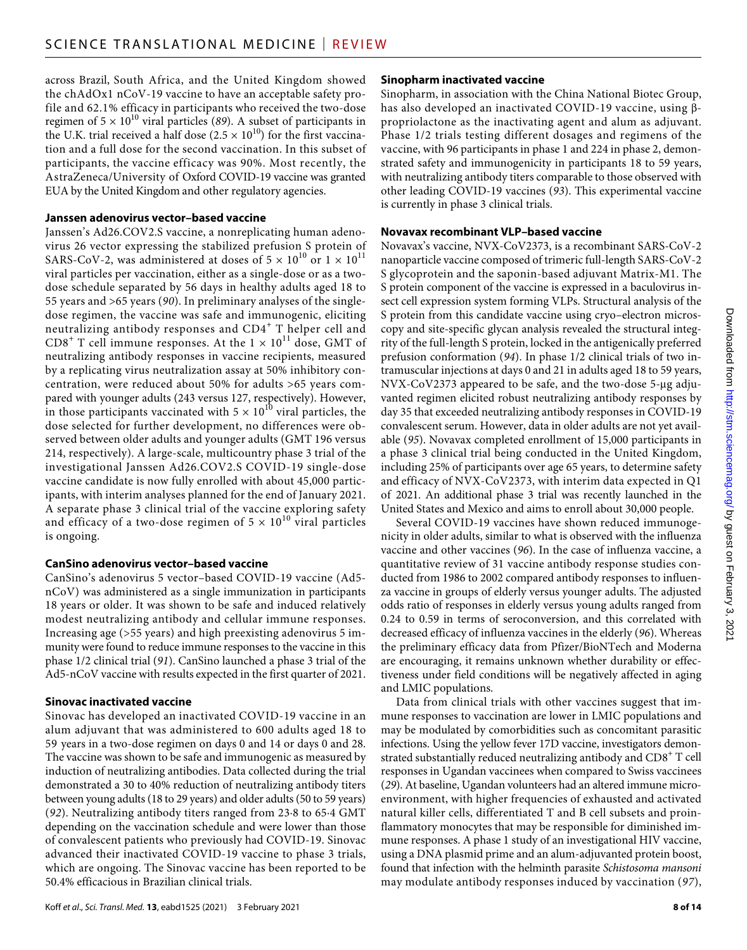across Brazil, South Africa, and the United Kingdom showed the chAdOx1 nCoV-19 vaccine to have an acceptable safety profile and 62.1% efficacy in participants who received the two-dose regimen of  $5 \times 10^{10}$  viral particles (89). A subset of participants in the U.K. trial received a half dose  $(2.5 \times 10^{10})$  for the first vaccination and a full dose for the second vaccination. In this subset of participants, the vaccine efficacy was 90%. Most recently, the AstraZeneca/University of Oxford COVID-19 vaccine was granted EUA by the United Kingdom and other regulatory agencies.

## **Janssen adenovirus vector–based vaccine**

Janssen's Ad26.COV2.S vaccine, a nonreplicating human adenovirus 26 vector expressing the stabilized prefusion S protein of SARS-CoV-2, was administered at doses of  $5 \times 10^{10}$  or  $1 \times 10^{11}$ viral particles per vaccination, either as a single-dose or as a twodose schedule separated by 56 days in healthy adults aged 18 to 55 years and >65 years (*90*). In preliminary analyses of the singledose regimen, the vaccine was safe and immunogenic, eliciting neutralizing antibody responses and CD4<sup>+</sup> T helper cell and CD8<sup>+</sup> T cell immune responses. At the  $1 \times 10^{11}$  dose, GMT of neutralizing antibody responses in vaccine recipients, measured by a replicating virus neutralization assay at 50% inhibitory concentration, were reduced about 50% for adults >65 years compared with younger adults (243 versus 127, respectively). However, in those participants vaccinated with  $5 \times 10^{10}$  viral particles, the dose selected for further development, no differences were observed between older adults and younger adults (GMT 196 versus 214, respectively). A large-scale, multicountry phase 3 trial of the investigational Janssen Ad26.COV2.S COVID-19 single-dose vaccine candidate is now fully enrolled with about 45,000 participants, with interim analyses planned for the end of January 2021. A separate phase 3 clinical trial of the vaccine exploring safety and efficacy of a two-dose regimen of  $5 \times 10^{10}$  viral particles is ongoing.

# **CanSino adenovirus vector–based vaccine**

CanSino's adenovirus 5 vector–based COVID-19 vaccine (Ad5 nCoV) was administered as a single immunization in participants 18 years or older. It was shown to be safe and induced relatively modest neutralizing antibody and cellular immune responses. Increasing age (>55 years) and high preexisting adenovirus 5 immunity were found to reduce immune responses to the vaccine in this phase 1/2 clinical trial (*91*). CanSino launched a phase 3 trial of the Ad5-nCoV vaccine with results expected in the first quarter of 2021.

# **Sinovac inactivated vaccine**

Sinovac has developed an inactivated COVID-19 vaccine in an alum adjuvant that was administered to 600 adults aged 18 to 59 years in a two-dose regimen on days 0 and 14 or days 0 and 28. The vaccine was shown to be safe and immunogenic as measured by induction of neutralizing antibodies. Data collected during the trial demonstrated a 30 to 40% reduction of neutralizing antibody titers between young adults (18 to 29 years) and older adults (50 to 59 years) (*92*). Neutralizing antibody titers ranged from 23·8 to 65·4 GMT depending on the vaccination schedule and were lower than those of convalescent patients who previously had COVID-19. Sinovac advanced their inactivated COVID-19 vaccine to phase 3 trials, which are ongoing. The Sinovac vaccine has been reported to be 50.4% efficacious in Brazilian clinical trials.

# **Sinopharm inactivated vaccine**

Sinopharm, in association with the China National Biotec Group, has also developed an inactivated COVID-19 vaccine, using  $\beta$ propriolactone as the inactivating agent and alum as adjuvant. Phase 1/2 trials testing different dosages and regimens of the vaccine, with 96 participants in phase 1 and 224 in phase 2, demonstrated safety and immunogenicity in participants 18 to 59 years, with neutralizing antibody titers comparable to those observed with other leading COVID-19 vaccines (*93*). This experimental vaccine is currently in phase 3 clinical trials.

# **Novavax recombinant VLP–based vaccine**

Novavax's vaccine, NVX-CoV2373, is a recombinant SARS-CoV-2 nanoparticle vaccine composed of trimeric full-length SARS-CoV-2 S glycoprotein and the saponin-based adjuvant Matrix-M1. The S protein component of the vaccine is expressed in a baculovirus insect cell expression system forming VLPs. Structural analysis of the S protein from this candidate vaccine using cryo–electron microscopy and site-specific glycan analysis revealed the structural integrity of the full-length S protein, locked in the antigenically preferred prefusion conformation (*94*). In phase 1/2 clinical trials of two intramuscular injections at days 0 and 21 in adults aged 18 to 59 years, NVX-CoV2373 appeared to be safe, and the two-dose 5-µg adjuvanted regimen elicited robust neutralizing antibody responses by day 35 that exceeded neutralizing antibody responses in COVID-19 convalescent serum. However, data in older adults are not yet available (*95*). Novavax completed enrollment of 15,000 participants in a phase 3 clinical trial being conducted in the United Kingdom, including 25% of participants over age 65 years, to determine safety and efficacy of NVX-CoV2373, with interim data expected in Q1 of 2021. An additional phase 3 trial was recently launched in the United States and Mexico and aims to enroll about 30,000 people.

Several COVID-19 vaccines have shown reduced immunogenicity in older adults, similar to what is observed with the influenza vaccine and other vaccines (*96*). In the case of influenza vaccine, a quantitative review of 31 vaccine antibody response studies conducted from 1986 to 2002 compared antibody responses to influenza vaccine in groups of elderly versus younger adults. The adjusted odds ratio of responses in elderly versus young adults ranged from 0.24 to 0.59 in terms of seroconversion, and this correlated with decreased efficacy of influenza vaccines in the elderly (*96*). Whereas the preliminary efficacy data from Pfizer/BioNTech and Moderna are encouraging, it remains unknown whether durability or effectiveness under field conditions will be negatively affected in aging and LMIC populations.

Data from clinical trials with other vaccines suggest that immune responses to vaccination are lower in LMIC populations and may be modulated by comorbidities such as concomitant parasitic infections. Using the yellow fever 17D vaccine, investigators demonstrated substantially reduced neutralizing antibody and CD8 $^{\rm +}$  T cell responses in Ugandan vaccinees when compared to Swiss vaccinees (*29*). At baseline, Ugandan volunteers had an altered immune microenvironment, with higher frequencies of exhausted and activated natural killer cells, differentiated T and B cell subsets and proinflammatory monocytes that may be responsible for diminished immune responses. A phase 1 study of an investigational HIV vaccine, using a DNA plasmid prime and an alum-adjuvanted protein boost, found that infection with the helminth parasite *Schistosoma mansoni* may modulate antibody responses induced by vaccination (*97*),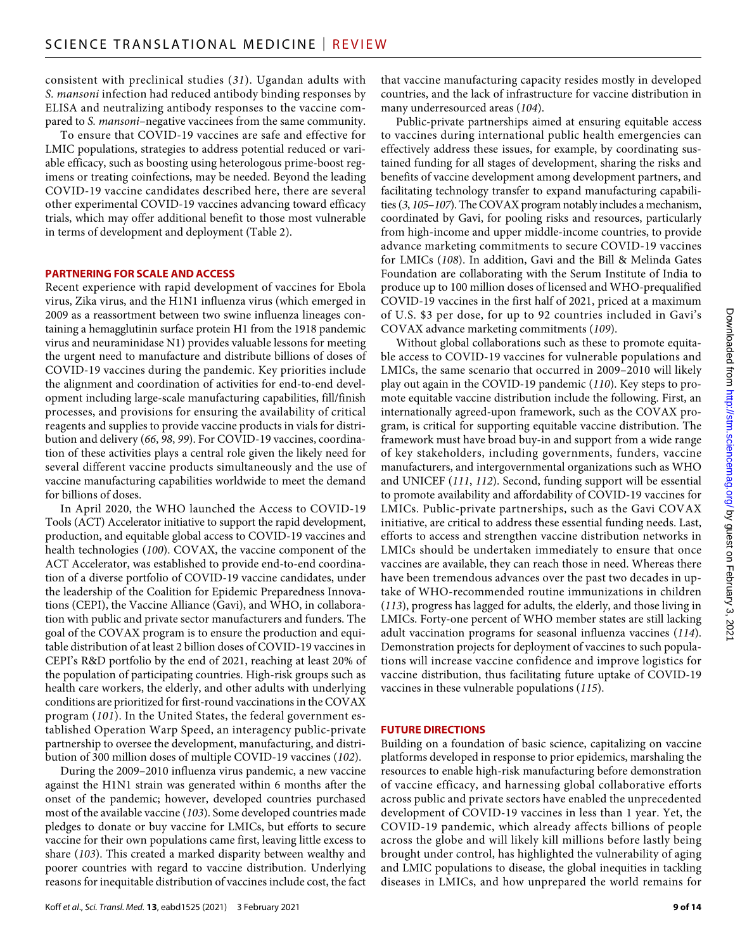consistent with preclinical studies (*31*). Ugandan adults with *S. mansoni* infection had reduced antibody binding responses by ELISA and neutralizing antibody responses to the vaccine compared to *S. mansoni*–negative vaccinees from the same community.

To ensure that COVID-19 vaccines are safe and effective for LMIC populations, strategies to address potential reduced or variable efficacy, such as boosting using heterologous prime-boost regimens or treating coinfections, may be needed. Beyond the leading COVID-19 vaccine candidates described here, there are several other experimental COVID-19 vaccines advancing toward efficacy trials, which may offer additional benefit to those most vulnerable in terms of development and deployment (Table 2).

#### **PARTNERING FOR SCALE ANDACCESS**

Recent experience with rapid development of vaccines for Ebola virus, Zika virus, and the H1N1 influenza virus (which emerged in 2009 as a reassortment between two swine influenza lineages containing a hemagglutinin surface protein H1 from the 1918 pandemic virus and neuraminidase N1) provides valuable lessons for meeting the urgent need to manufacture and distribute billions of doses of COVID-19 vaccines during the pandemic. Key priorities include the alignment and coordination of activities for end-to-end development including large-scale manufacturing capabilities, fill/finish processes, and provisions for ensuring the availability of critical reagents and supplies to provide vaccine products in vials for distribution and delivery (*66*, *98*, *99*). For COVID-19 vaccines, coordination of these activities plays a central role given the likely need for several different vaccine products simultaneously and the use of vaccine manufacturing capabilities worldwide to meet the demand for billions of doses.

In April 2020, the WHO launched the Access to COVID-19 Tools (ACT) Accelerator initiative to support the rapid development, production, and equitable global access to COVID-19 vaccines and health technologies (*100*). COVAX, the vaccine component of the ACT Accelerator, was established to provide end-to-end coordination of a diverse portfolio of COVID-19 vaccine candidates, under the leadership of the Coalition for Epidemic Preparedness Innovations (CEPI), the Vaccine Alliance (Gavi), and WHO, in collaboration with public and private sector manufacturers and funders. The goal of the COVAX program is to ensure the production and equitable distribution of at least 2 billion doses of COVID-19 vaccines in CEPI's R&D portfolio by the end of 2021, reaching at least 20% of the population of participating countries. High-risk groups such as health care workers, the elderly, and other adults with underlying conditions are prioritized for first-round vaccinations in the COVAX program (*101*). In the United States, the federal government established Operation Warp Speed, an interagency public-private partnership to oversee the development, manufacturing, and distribution of 300 million doses of multiple COVID-19 vaccines (*102*).

During the 2009–2010 influenza virus pandemic, a new vaccine against the H1N1 strain was generated within 6 months after the onset of the pandemic; however, developed countries purchased most of the available vaccine (*103*). Some developed countries made pledges to donate or buy vaccine for LMICs, but efforts to secure vaccine for their own populations came first, leaving little excess to share (*103*). This created a marked disparity between wealthy and poorer countries with regard to vaccine distribution. Underlying reasons for inequitable distribution of vaccines include cost, the fact

that vaccine manufacturing capacity resides mostly in developed countries, and the lack of infrastructure for vaccine distribution in many underresourced areas (*104*).

Public-private partnerships aimed at ensuring equitable access to vaccines during international public health emergencies can effectively address these issues, for example, by coordinating sustained funding for all stages of development, sharing the risks and benefits of vaccine development among development partners, and facilitating technology transfer to expand manufacturing capabilities (*3*, *105*–*107*). The COVAX program notably includes a mechanism, coordinated by Gavi, for pooling risks and resources, particularly from high-income and upper middle-income countries, to provide advance marketing commitments to secure COVID-19 vaccines for LMICs (*108*). In addition, Gavi and the Bill & Melinda Gates Foundation are collaborating with the Serum Institute of India to produce up to 100 million doses of licensed and WHO-prequalified COVID-19 vaccines in the first half of 2021, priced at a maximum of U.S. \$3 per dose, for up to 92 countries included in Gavi's COVAX advance marketing commitments (*109*).

Without global collaborations such as these to promote equitable access to COVID-19 vaccines for vulnerable populations and LMICs, the same scenario that occurred in 2009–2010 will likely play out again in the COVID-19 pandemic (*110*). Key steps to promote equitable vaccine distribution include the following. First, an internationally agreed-upon framework, such as the COVAX program, is critical for supporting equitable vaccine distribution. The framework must have broad buy-in and support from a wide range of key stakeholders, including governments, funders, vaccine manufacturers, and intergovernmental organizations such as WHO and UNICEF (*111*, *112*). Second, funding support will be essential to promote availability and affordability of COVID-19 vaccines for LMICs. Public-private partnerships, such as the Gavi COVAX initiative, are critical to address these essential funding needs. Last, efforts to access and strengthen vaccine distribution networks in LMICs should be undertaken immediately to ensure that once vaccines are available, they can reach those in need. Whereas there have been tremendous advances over the past two decades in uptake of WHO-recommended routine immunizations in children (*113*), progress has lagged for adults, the elderly, and those living in LMICs. Forty-one percent of WHO member states are still lacking adult vaccination programs for seasonal influenza vaccines (*114*). Demonstration projects for deployment of vaccines to such populations will increase vaccine confidence and improve logistics for vaccine distribution, thus facilitating future uptake of COVID-19 vaccines in these vulnerable populations (*115*).

#### **FUTURE DIRECTIONS**

Building on a foundation of basic science, capitalizing on vaccine platforms developed in response to prior epidemics, marshaling the resources to enable high-risk manufacturing before demonstration of vaccine efficacy, and harnessing global collaborative efforts across public and private sectors have enabled the unprecedented development of COVID-19 vaccines in less than 1 year. Yet, the COVID-19 pandemic, which already affects billions of people across the globe and will likely kill millions before lastly being brought under control, has highlighted the vulnerability of aging and LMIC populations to disease, the global inequities in tackling diseases in LMICs, and how unprepared the world remains for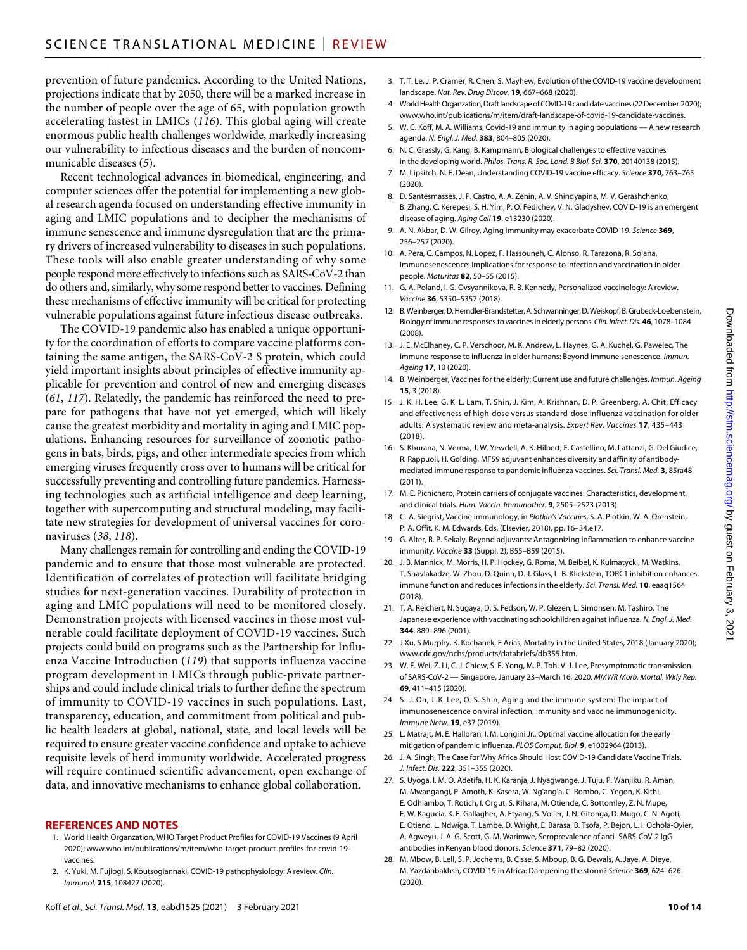prevention of future pandemics. According to the United Nations, projections indicate that by 2050, there will be a marked increase in the number of people over the age of 65, with population growth accelerating fastest in LMICs (*116*). This global aging will create enormous public health challenges worldwide, markedly increasing our vulnerability to infectious diseases and the burden of noncommunicable diseases (*5*).

Recent technological advances in biomedical, engineering, and computer sciences offer the potential for implementing a new global research agenda focused on understanding effective immunity in aging and LMIC populations and to decipher the mechanisms of immune senescence and immune dysregulation that are the primary drivers of increased vulnerability to diseases in such populations. These tools will also enable greater understanding of why some people respond more effectively to infections such as SARS-CoV-2 than do others and, similarly, why some respond better to vaccines. Defining these mechanisms of effective immunity will be critical for protecting vulnerable populations against future infectious disease outbreaks.

The COVID-19 pandemic also has enabled a unique opportunity for the coordination of efforts to compare vaccine platforms containing the same antigen, the SARS-CoV-2 S protein, which could yield important insights about principles of effective immunity applicable for prevention and control of new and emerging diseases (*61*, *117*). Relatedly, the pandemic has reinforced the need to prepare for pathogens that have not yet emerged, which will likely cause the greatest morbidity and mortality in aging and LMIC populations. Enhancing resources for surveillance of zoonotic pathogens in bats, birds, pigs, and other intermediate species from which emerging viruses frequently cross over to humans will be critical for successfully preventing and controlling future pandemics. Harnessing technologies such as artificial intelligence and deep learning, together with supercomputing and structural modeling, may facilitate new strategies for development of universal vaccines for coronaviruses (*38*, *118*).

Many challenges remain for controlling and ending the COVID-19 pandemic and to ensure that those most vulnerable are protected. Identification of correlates of protection will facilitate bridging studies for next-generation vaccines. Durability of protection in aging and LMIC populations will need to be monitored closely. Demonstration projects with licensed vaccines in those most vulnerable could facilitate deployment of COVID-19 vaccines. Such projects could build on programs such as the Partnership for Influenza Vaccine Introduction (*119*) that supports influenza vaccine program development in LMICs through public-private partnerships and could include clinical trials to further define the spectrum of immunity to COVID-19 vaccines in such populations. Last, transparency, education, and commitment from political and public health leaders at global, national, state, and local levels will be required to ensure greater vaccine confidence and uptake to achieve requisite levels of herd immunity worldwide. Accelerated progress will require continued scientific advancement, open exchange of data, and innovative mechanisms to enhance global collaboration.

#### **REFERENCES AND NOTES**

- 1. World Health Organzation, WHO Target Product Profiles for COVID-19 Vaccines (9 April 2020); [www.who.int/publications/m/item/who-target-product-profiles-for-covid-19](https://www.who.int/publications/m/item/who-target-product-profiles-for-covid-19-vaccines) [vaccines](https://www.who.int/publications/m/item/who-target-product-profiles-for-covid-19-vaccines).
- 2. K. Yuki, M. Fujiogi, S. Koutsogiannaki, COVID-19 pathophysiology: A review. *Clin. Immunol.* **215**, 108427 (2020).
- 3. T. T. Le, J. P. Cramer, R. Chen, S. Mayhew, Evolution of the COVID-19 vaccine development landscape. *Nat. Rev. Drug Discov.* **19**, 667–668 (2020).
- 4. World Health Organzation, Draft landscape of COVID-19 candidate vaccines (22 December 2020); [www.who.int/publications/m/item/draft-landscape-of-covid-19-candidate-vaccines.](https://www.who.int/publications/m/item/draft-landscape-of-covid-19-candidate-vaccines)
- 5. W. C. Koff, M. A. Williams, Covid-19 and immunity in aging populations A new research agenda. *N. Engl. J. Med.* **383**, 804–805 (2020).
- 6. N. C. Grassly, G. Kang, B. Kampmann, Biological challenges to effective vaccines in the developing world. *Philos. Trans. R. Soc. Lond. B Biol. Sci.* **370**, 20140138 (2015).
- 7. M. Lipsitch, N. E. Dean, Understanding COVID-19 vaccine efficacy. *Science* **370**, 763–765 (2020).
- 8. D. Santesmasses, J. P. Castro, A. A. Zenin, A. V. Shindyapina, M. V. Gerashchenko, B. Zhang, C. Kerepesi, S. H. Yim, P. O. Fedichev, V. N. Gladyshev, COVID-19 is an emergent disease of aging. *Aging Cell* **19**, e13230 (2020).
- 9. A. N. Akbar, D. W. Gilroy, Aging immunity may exacerbate COVID-19. *Science* **369**, 256–257 (2020).
- 10. A. Pera, C. Campos, N. Lopez, F. Hassouneh, C. Alonso, R. Tarazona, R. Solana, Immunosenescence: Implications for response to infection and vaccination in older people. *Maturitas* **82**, 50–55 (2015).
- 11. G. A. Poland, I. G. Ovsyannikova, R. B. Kennedy, Personalized vaccinology: A review. *Vaccine* **36**, 5350–5357 (2018).
- 12. B.Weinberger, D.Herndler-Brandstetter, A. Schwanninger, D.Weiskopf, B.Grubeck-Loebenstein, Biology ofimmune responses tovaccines inelderly persons. *Clin. Infect. Dis.* **46**, 1078–1084 (2008).
- 13. J. E. McElhaney, C. P. Verschoor, M. K. Andrew, L. Haynes, G. A. Kuchel, G. Pawelec, The immune response to influenza in older humans: Beyond immune senescence. *Immun. Ageing* **17**, 10 (2020).
- 14. B. Weinberger, Vaccines for the elderly: Current use and future challenges. *Immun. Ageing* **15**, 3 (2018).
- 15. J. K. H. Lee, G. K. L. Lam, T. Shin, J. Kim, A. Krishnan, D. P. Greenberg, A. Chit, Efficacy and effectiveness of high-dose versus standard-dose influenza vaccination for older adults: A systematic review and meta-analysis. *Expert Rev. Vaccines* **17**, 435–443 (2018).
- 16. S. Khurana, N. Verma, J. W. Yewdell, A. K. Hilbert, F. Castellino, M. Lattanzi, G. Del Giudice, R. Rappuoli, H. Golding, MF59 adjuvant enhances diversity and affinity of antibodymediated immune response to pandemic influenza vaccines. *Sci. Transl. Med.* **3**, 85ra48 (2011).
- 17. M. E. Pichichero, Protein carriers of conjugate vaccines: Characteristics, development, and clinical trials. *Hum. Vaccin. Immunother.* **9**, 2505–2523 (2013).
- 18. C.-A. Siegrist, Vaccine immunology, in *Plotkin's Vaccines*, S. A. Plotkin, W. A. Orenstein, P. A. Offit, K. M. Edwards, Eds. (Elsevier, 2018), pp. 16–34.e17.
- 19. G. Alter, R. P. Sekaly, Beyond adjuvants: Antagonizing inflammation to enhance vaccine immunity. *Vaccine* **33** (Suppl. 2), B55–B59 (2015).
- 20. J. B. Mannick, M. Morris, H. P. Hockey, G. Roma, M. Beibel, K. Kulmatycki, M. Watkins, T. Shavlakadze, W. Zhou, D. Quinn, D. J. Glass, L. B. Klickstein, TORC1 inhibition enhances immune function and reduces infections in the elderly. *Sci. Transl. Med.* **10**, eaaq1564 (2018).
- 21. T. A. Reichert, N. Sugaya, D. S. Fedson, W. P. Glezen, L. Simonsen, M. Tashiro, The Japanese experience with vaccinating schoolchildren against influenza. *N. Engl. J. Med.* **344**, 889–896 (2001).
- 22. J Xu, S Murphy, K. Kochanek, E Arias, Mortality in the United States, 2018 (January 2020); [www.cdc.gov/nchs/products/databriefs/db355.htm.](https://www.cdc.gov/nchs/products/databriefs/db355.htm)
- 23. W. E. Wei, Z. Li, C. J. Chiew, S. E. Yong, M. P. Toh, V. J. Lee, Presymptomatic transmission of SARS-CoV-2 — Singapore, January 23–March 16, 2020. *MMWR Morb. Mortal. Wkly Rep.* **69**, 411–415 (2020).
- 24. S.-J. Oh, J. K. Lee, O. S. Shin, Aging and the immune system: The impact of immunosenescence on viral infection, immunity and vaccine immunogenicity. *Immune Netw.* **19**, e37 (2019).
- 25. L. Matrajt, M. E. Halloran, I. M. Longini Jr., Optimal vaccine allocation for the early mitigation of pandemic influenza. *PLOS Comput. Biol.* **9**, e1002964 (2013).
- 26. J. A. Singh, The Case for Why Africa Should Host COVID-19 Candidate Vaccine Trials. *J. Infect. Dis.* **222**, 351–355 (2020).
- 27. S. Uyoga, I. M. O. Adetifa, H. K. Karanja, J. Nyagwange, J. Tuju, P. Wanjiku, R. Aman, M. Mwangangi, P. Amoth, K. Kasera, W. Ng'ang'a, C. Rombo, C. Yegon, K. Kithi, E. Odhiambo, T. Rotich, I. Orgut, S. Kihara, M. Otiende, C. Bottomley, Z. N. Mupe, E. W. Kagucia, K. E. Gallagher, A. Etyang, S. Voller, J. N. Gitonga, D. Mugo, C. N. Agoti, E. Otieno, L. Ndwiga, T. Lambe, D. Wright, E. Barasa, B. Tsofa, P. Bejon, L. I. Ochola-Oyier, A. Agweyu, J. A. G. Scott, G. M. Warimwe, Seroprevalence of anti–SARS-CoV-2 IgG antibodies in Kenyan blood donors. *Science* **371**, 79–82 (2020).
- 28. M. Mbow, B. Lell, S. P. Jochems, B. Cisse, S. Mboup, B. G. Dewals, A. Jaye, A. Dieye, M. Yazdanbakhsh, COVID-19 in Africa: Dampening the storm? *Science* **369**, 624–626 (2020).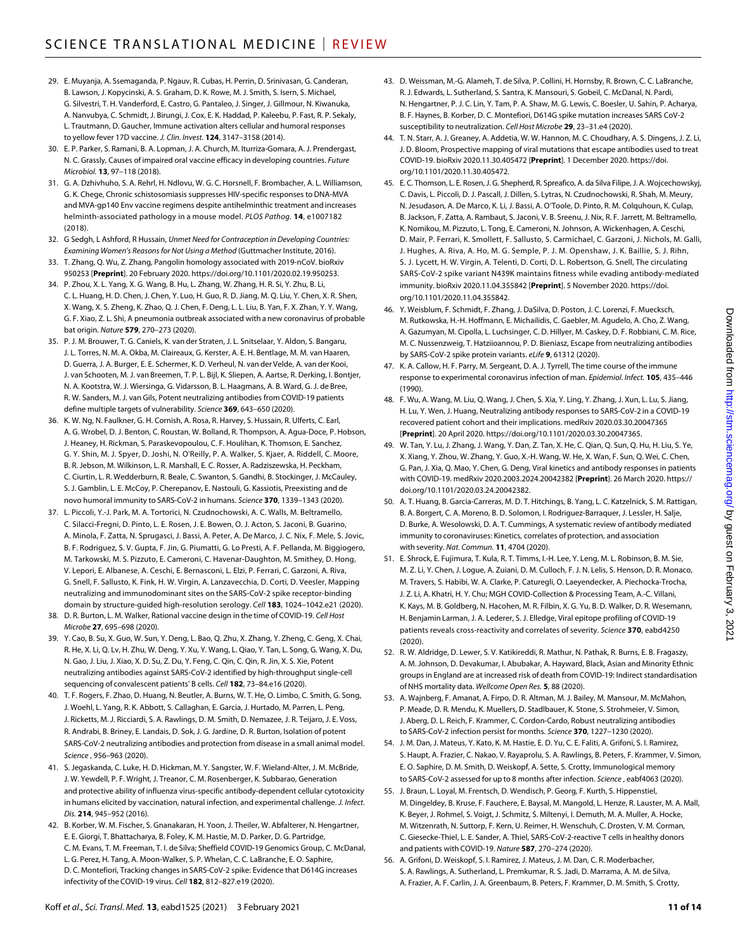- 29. E. Muyanja, A. Ssemaganda, P. Ngauv, R. Cubas, H. Perrin, D. Srinivasan, G. Canderan, B. Lawson, J. Kopycinski, A. S. Graham, D. K. Rowe, M. J. Smith, S. Isern, S. Michael, G. Silvestri, T. H. Vanderford, E. Castro, G. Pantaleo, J. Singer, J. Gillmour, N. Kiwanuka, A. Nanvubya, C. Schmidt, J. Birungi, J. Cox, E. K. Haddad, P. Kaleebu, P. Fast, R. P. Sekaly, L. Trautmann, D. Gaucher, Immune activation alters cellular and humoral responses to yellow fever 17D vaccine. *J. Clin. Invest.* **124**, 3147–3158 (2014).
- 30. E. P. Parker, S. Ramani, B. A. Lopman, J. A. Church, M. Iturriza-Gomara, A. J. Prendergast, N. C. Grassly, Causes of impaired oral vaccine efficacy in developing countries. *Future Microbiol.* **13**, 97–118 (2018).
- 31. G. A. Dzhivhuho, S. A. Rehrl, H. Ndlovu, W. G. C. Horsnell, F. Brombacher, A. L. Williamson, G. K. Chege, Chronic schistosomiasis suppresses HIV-specific responses toDNA-MVA and MVA-gp140 Env vaccine regimens despite antihelminthic treatment and increases helminth-associated pathology in a mouse model. *PLOS Pathog.* **14**, e1007182 (2018).
- 32. G Sedgh, L Ashford, R Hussain, *Unmet Need for Contraception in Developing Countries: Examining Women's Reasons for Not Using a Method* (Guttmacher Institute, 2016).
- 33. T. Zhang, Q. Wu, Z. Zhang, Pangolin homology associated with 2019-nCoV. bioRxiv 950253 [**Preprint**]. 20 February 2020. https://doi.org/10.1101/2020.02.19.950253.
- 34. P. Zhou, X. L. Yang, X. G. Wang, B. Hu, L. Zhang, W. Zhang, H. R. Si, Y. Zhu, B. Li, C. L. Huang, H. D. Chen, J. Chen, Y. Luo, H. Guo, R. D. Jiang, M. Q. Liu, Y. Chen, X. R. Shen, X. Wang, X. S. Zheng, K. Zhao, Q. J. Chen, F. Deng, L. L. Liu, B. Yan, F. X. Zhan, Y. Y. Wang, G. F. Xiao, Z. L. Shi, A pneumonia outbreak associated with a new coronavirus of probable bat origin. *Nature* **579**, 270–273 (2020).
- 35. P. J. M. Brouwer, T. G. Caniels, K. van der Straten, J. L. Snitselaar, Y. Aldon, S. Bangaru, J. L. Torres, N. M. A. Okba, M. Claireaux, G. Kerster, A. E. H. Bentlage, M. M. van Haaren, D. Guerra, J. A. Burger, E. E. Schermer, K. D. Verheul, N. van der Velde, A. van der Kooi, J. van Schooten, M. J. van Breemen, T. P. L. Bijl, K. Sliepen, A. Aartse, R. Derking, I. Bontjer, N. A. Kootstra, W. J. Wiersinga, G. Vidarsson, B. L. Haagmans, A. B. Ward, G. J. de Bree, R. W. Sanders, M. J. van Gils, Potent neutralizing antibodies from COVID-19 patients define multiple targets of vulnerability. *Science* **369**, 643–650 (2020).
- 36. K. W. Ng, N. Faulkner, G. H. Cornish, A. Rosa, R. Harvey, S. Hussain, R. Ulferts, C. Earl, A. G. Wrobel, D. J. Benton, C. Roustan, W. Bolland, R. Thompson, A. Agua-Doce, P. Hobson, J. Heaney, H. Rickman, S. Paraskevopoulou, C. F. Houlihan, K. Thomson, E. Sanchez, G. Y. Shin, M. J. Spyer, D. Joshi, N. O'Reilly, P. A. Walker, S. Kjaer, A. Riddell, C. Moore, B. R. Jebson, M. Wilkinson, L. R. Marshall, E. C. Rosser, A. Radziszewska, H. Peckham, C. Ciurtin, L. R. Wedderburn, R. Beale, C. Swanton, S. Gandhi, B. Stockinger, J. McCauley, S. J. Gamblin, L. E. McCoy, P. Cherepanov, E. Nastouli, G. Kassiotis, Preexisting and de novo humoral immunity to SARS-CoV-2 in humans. *Science* **370**, 1339–1343 (2020).
- 37. L. Piccoli, Y.-J. Park, M. A. Tortorici, N. Czudnochowski, A. C. Walls, M. Beltramello, C. Silacci-Fregni, D. Pinto, L. E. Rosen, J. E. Bowen, O. J. Acton, S. Jaconi, B. Guarino, A. Minola, F. Zatta, N. Sprugasci, J. Bassi, A. Peter, A. De Marco, J. C. Nix, F. Mele, S. Jovic, B. F. Rodriguez, S. V. Gupta, F. Jin, G. Piumatti, G. Lo Presti, A. F. Pellanda, M. Biggiogero, M. Tarkowski, M. S. Pizzuto, E. Cameroni, C. Havenar-Daughton, M. Smithey, D. Hong, V. Lepori, E. Albanese, A. Ceschi, E. Bernasconi, L. Elzi, P. Ferrari, C. Garzoni, A. Riva, G. Snell, F. Sallusto, K. Fink, H. W. Virgin, A. Lanzavecchia, D. Corti, D. Veesler, Mapping neutralizing and immunodominant sites on the SARS-CoV-2 spike receptor-binding domain by structure-guided high-resolution serology. *Cell* **183**, 1024–1042.e21 (2020).
- 38. D. R. Burton, L. M. Walker, Rational vaccine design in the time of COVID-19. *Cell Host Microbe* **27**, 695–698 (2020).
- 39. Y. Cao, B. Su, X. Guo, W. Sun, Y. Deng, L. Bao, Q. Zhu, X. Zhang, Y. Zheng, C. Geng, X. Chai, R. He, X. Li, Q. Lv, H. Zhu, W. Deng, Y. Xu, Y. Wang, L. Qiao, Y. Tan, L. Song, G. Wang, X. Du, N. Gao, J. Liu, J. Xiao, X. D. Su, Z. Du, Y. Feng, C. Qin, C. Qin, R. Jin, X. S. Xie, Potent neutralizing antibodies against SARS-CoV-2 identified by high-throughput single-cell sequencing of convalescent patients' B cells. *Cell* **182**, 73–84.e16 (2020).
- 40. T. F. Rogers, F. Zhao, D. Huang, N. Beutler, A. Burns, W. T. He, O. Limbo, C. Smith, G. Song, J. Woehl, L. Yang, R. K. Abbott, S. Callaghan, E. Garcia, J. Hurtado, M. Parren, L. Peng, J. Ricketts, M. J. Ricciardi, S. A. Rawlings, D. M. Smith, D. Nemazee, J. R. Teijaro, J. E. Voss, R. Andrabi, B. Briney, E. Landais, D. Sok, J. G. Jardine, D. R. Burton, Isolation of potent SARS-CoV-2 neutralizing antibodies and protection from disease in a small animal model. *Science* , 956–963 (2020).
- 41. S. Jegaskanda, C. Luke, H. D. Hickman, M. Y. Sangster, W. F. Wieland-Alter, J. M. McBride, J. W. Yewdell, P. F. Wright, J. Treanor, C. M. Rosenberger, K. Subbarao, Generation and protective ability of influenza virus-specific antibody-dependent cellular cytotoxicity in humans elicited by vaccination, natural infection, and experimental challenge. *J. Infect. Dis.* **214**, 945–952 (2016).
- 42. B. Korber, W. M. Fischer, S. Gnanakaran, H. Yoon, J. Theiler, W. Abfalterer, N. Hengartner, E. E. Giorgi, T. Bhattacharya, B. Foley, K. M. Hastie, M. D. Parker, D. G. Partridge, C. M. Evans, T. M. Freeman, T. I. de Silva; Sheffield COVID-19 Genomics Group, C. McDanal, L. G. Perez, H. Tang, A. Moon-Walker, S. P. Whelan, C. C. LaBranche, E. O. Saphire, D. C. Montefiori, Tracking changes in SARS-CoV-2 spike: Evidence that D614G increases infectivity of the COVID-19 virus. *Cell* **182**, 812–827.e19 (2020).
- 43. D. Weissman, M.-G. Alameh, T. de Silva, P. Collini, H. Hornsby, R. Brown, C. C. LaBranche, R. J. Edwards, L. Sutherland, S. Santra, K. Mansouri, S. Gobeil, C. McDanal, N. Pardi, N. Hengartner, P. J. C. Lin, Y. Tam, P. A. Shaw, M. G. Lewis, C. Boesler, U. Sahin, P. Acharya, B. F. Haynes, B. Korber, D. C. Montefiori, D614G spike mutation increases SARS CoV-2 susceptibility to neutralization. *Cell Host Microbe* **29**, 23–31.e4 (2020).
- 44. T. N. Starr, A. J. Greaney, A. Addetia, W. W. Hannon, M. C. Choudhary, A. S. Dingens, J. Z. Li, J. D. Bloom, Prospective mapping of viral mutations that escape antibodies used to treat COVID-19. bioRxiv 2020.11.30.405472 [**Preprint**]. 1 December 2020. https://doi. org/10.1101/2020.11.30.405472.
- 45. E. C. Thomson, L. E. Rosen, J. G. Shepherd, R. Spreafico, A. da Silva Filipe, J. A. Wojcechowskyj, C. Davis, L. Piccoli, D. J. Pascall, J. Dillen, S. Lytras, N. Czudnochowski, R. Shah, M. Meury, N. Jesudason, A. De Marco, K. Li, J. Bassi, A. O'Toole, D. Pinto, R. M. Colquhoun, K. Culap, B. Jackson, F. Zatta, A. Rambaut, S. Jaconi, V. B. Sreenu, J. Nix, R. F. Jarrett, M. Beltramello, K. Nomikou, M. Pizzuto, L. Tong, E. Cameroni, N. Johnson, A. Wickenhagen, A. Ceschi, D. Mair, P. Ferrari, K. Smollett, F. Sallusto, S. Carmichael, C. Garzoni, J. Nichols, M. Galli, J. Hughes, A. Riva, A. Ho, M. G. Semple, P. J. M. Openshaw, J. K. Baillie, S. J. Rihn, S. J. Lycett, H. W. Virgin, A. Telenti, D. Corti, D. L. Robertson, G. Snell, The circulating SARS-CoV-2 spike variant N439K maintains fitness while evading antibody-mediated immunity. bioRxiv 2020.11.04.355842 [**Preprint**]. 5 November 2020. https://doi. org/10.1101/2020.11.04.355842.
- 46. Y. Weisblum, F. Schmidt, F. Zhang, J. DaSilva, D. Poston, J. C. Lorenzi, F. Muecksch, M. Rutkowska, H.-H. Hoffmann, E. Michailidis, C. Gaebler, M. Agudelo, A. Cho, Z. Wang, A. Gazumyan, M. Cipolla, L. Luchsinger, C. D. Hillyer, M. Caskey, D. F. Robbiani, C. M. Rice, M. C. Nussenzweig, T. Hatziioannou, P. D. Bieniasz, Escape from neutralizing antibodies by SARS-CoV-2 spike protein variants. *eLife* **9**, 61312 (2020).
- 47. K. A. Callow, H. F. Parry, M. Sergeant, D. A. J. Tyrrell, The time course of the immune response to experimental coronavirus infection of man. *Epidemiol. Infect.* **105**, 435–446 (1990).
- 48. F. Wu, A. Wang, M. Liu, Q. Wang, J. Chen, S. Xia, Y. Ling, Y. Zhang, J. Xun, L. Lu, S. Jiang, H. Lu, Y. Wen, J. Huang, Neutralizing antibody responses to SARS-CoV-2 in a COVID-19 recovered patient cohort and their implications. medRxiv 2020.03.30.20047365 [**Preprint**]. 20 April 2020. https://doi.org/10.1101/2020.03.30.20047365.
- 49. W. Tan, Y. Lu, J. Zhang, J. Wang, Y. Dan, Z. Tan, X. He, C. Qian, Q. Sun, Q. Hu, H. Liu, S. Ye, X. Xiang, Y. Zhou, W. Zhang, Y. Guo, X.-H. Wang, W. He, X. Wan, F. Sun, Q. Wei, C. Chen, G. Pan, J. Xia, Q. Mao, Y. Chen, G. Deng, Viral kinetics and antibody responses in patients with COVID-19. medRxiv 2020.2003.2024.20042382 [**Preprint**]. 26 March 2020. https:// doi.org/10.1101/2020.03.24.20042382.
- 50. A. T. Huang, B. Garcia-Carreras, M. D. T. Hitchings, B. Yang, L. C. Katzelnick, S. M. Rattigan, B. A. Borgert, C. A. Moreno, B. D. Solomon, I. Rodriguez-Barraquer, J. Lessler, H. Salje, D. Burke, A. Wesolowski, D. A. T. Cummings, A systematic review of antibody mediated immunity to coronaviruses: Kinetics, correlates of protection, and association with severity. *Nat. Commun.* **11**, 4704 (2020).
- 51. E. Shrock, E. Fujimura, T. Kula, R. T. Timms, I.-H. Lee, Y. Leng, M. L. Robinson, B. M. Sie, M. Z. Li, Y. Chen, J. Logue, A. Zuiani, D. M. Culloch, F. J. N. Lelis, S. Henson, D. R. Monaco, M. Travers, S. Habibi, W. A. Clarke, P. Caturegli, O. Laeyendecker, A. Piechocka-Trocha, J. Z. Li, A. Khatri, H. Y. Chu; MGH COVID-Collection & Processing Team, A.-C. Villani, K. Kays, M. B. Goldberg, N. Hacohen, M. R. Filbin, X. G. Yu, B. D. Walker, D. R. Wesemann, H. Benjamin Larman, J. A. Lederer, S. J. Elledge, Viral epitope profiling of COVID-19 patients reveals cross-reactivity and correlates ofseverity. *Science* **370**, eabd4250  $(2020)$
- 52. R. W. Aldridge, D. Lewer, S. V. Katikireddi, R. Mathur, N. Pathak, R. Burns, E. B. Fragaszy, A. M. Johnson, D. Devakumar, I. Abubakar, A. Hayward, Black, Asian and Minority Ethnic groups in England are at increased risk of death from COVID-19: Indirect standardisation of NHS mortality data. *Wellcome Open Res.* **5**, 88 (2020).
- 53. A. Wajnberg, F. Amanat, A. Firpo, D. R. Altman, M. J. Bailey, M. Mansour, M. McMahon, P. Meade, D. R. Mendu, K. Muellers, D. Stadlbauer, K. Stone, S. Strohmeier, V. Simon, J. Aberg, D. L. Reich, F. Krammer, C. Cordon-Cardo, Robust neutralizing antibodies to SARS-CoV-2 infection persist for months. *Science* **370**, 1227–1230 (2020).
- 54. J. M. Dan, J. Mateus, Y. Kato, K. M. Hastie, E. D. Yu, C. E. Faliti, A. Grifoni, S. I. Ramirez, S. Haupt, A. Frazier, C. Nakao, V. Rayaprolu, S. A. Rawlings, B. Peters, F. Krammer, V. Simon, E. O. Saphire, D. M. Smith, D. Weiskopf, A. Sette, S. Crotty, Immunological memory to SARS-CoV-2 assessed for up to 8 months after infection. *Science* , eabf4063 (2020).
- 55. J. Braun, L. Loyal, M. Frentsch, D. Wendisch, P. Georg, F. Kurth, S. Hippenstiel, M. Dingeldey, B. Kruse, F. Fauchere, E. Baysal, M. Mangold, L. Henze, R. Lauster, M. A. Mall, K. Beyer, J. Rohmel, S. Voigt, J. Schmitz, S. Miltenyi, I. Demuth, M. A. Muller, A. Hocke, M. Witzenrath, N. Suttorp, F. Kern, U. Reimer, H. Wenschuh, C. Drosten, V. M. Corman, C. Giesecke-Thiel, L. E. Sander, A. Thiel, SARS-CoV-2-reactive T cells in healthy donors and patients with COVID-19. *Nature* **587**, 270–274 (2020).
- 56. A. Grifoni, D. Weiskopf, S. I. Ramirez, J. Mateus, J. M. Dan, C. R. Moderbacher, S. A. Rawlings, A. Sutherland, L. Premkumar, R. S. Jadi, D. Marrama, A. M. de Silva, A. Frazier, A. F. Carlin, J. A. Greenbaum, B. Peters, F. Krammer, D. M. Smith, S. Crotty,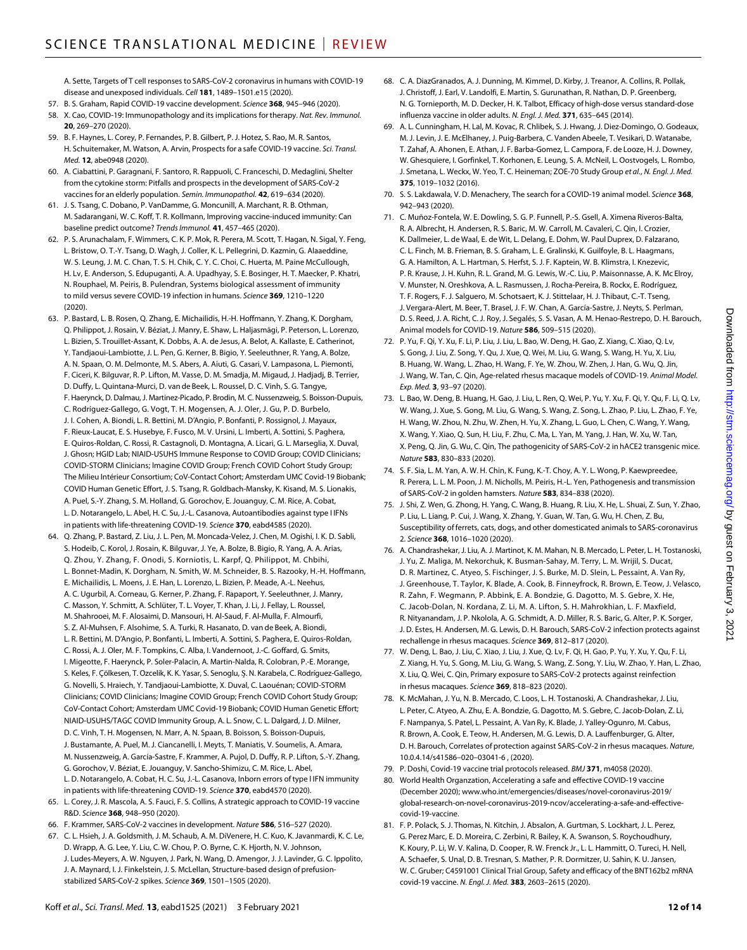A. Sette, Targets of T cell responses to SARS-CoV-2 coronavirus in humans with COVID-19 disease and unexposed individuals. *Cell* **181**, 1489–1501.e15 (2020).

- 57. B. S. Graham, Rapid COVID-19 vaccine development. *Science* **368**, 945–946 (2020).
- 58. X. Cao, COVID-19: Immunopathology and its implications for therapy. *Nat. Rev. Immunol.* **20**, 269–270 (2020).
- 59. B. F. Haynes, L. Corey, P. Fernandes, P. B. Gilbert, P. J. Hotez, S. Rao, M. R. Santos, H. Schuitemaker, M. Watson, A. Arvin, Prospects for a safe COVID-19 vaccine. *Sci. Transl. Med.* **12**, abe0948 (2020).
- 60. A. Ciabattini, P. Garagnani, F. Santoro, R. Rappuoli, C. Franceschi, D. Medaglini, Shelter from the cytokine storm: Pitfalls and prospects in the development of SARS-CoV-2 vaccines for an elderly population. *Semin. Immunopathol.* **42**, 619–634 (2020).
- 61. J. S. Tsang, C. Dobano, P. VanDamme, G. Moncunill, A. Marchant, R. B. Othman, M. Sadarangani, W. C. Koff, T. R. Kollmann, Improving vaccine-induced immunity: Can baseline predict outcome? *Trends Immunol.* **41**, 457–465 (2020).
- 62. P. S. Arunachalam, F. Wimmers, C. K. P. Mok, R. Perera, M. Scott, T. Hagan, N. Sigal, Y. Feng, L. Bristow, O. T.-Y. Tsang, D. Wagh, J. Coller, K. L. Pellegrini, D. Kazmin, G. Alaaeddine, W. S. Leung, J. M. C. Chan, T. S. H. Chik, C. Y. C. Choi, C. Huerta, M. Paine McCullough, H. Lv, E. Anderson, S. Edupuganti, A. A. Upadhyay, S. E. Bosinger, H. T. Maecker, P. Khatri, N. Rouphael, M. Peiris, B. Pulendran, Systems biological assessment of immunity to mild versus severe COVID-19 infection in humans. *Science* **369**, 1210–1220 (2020).
- 63. P. Bastard, L. B. Rosen, Q. Zhang, E. Michailidis, H.-H. Hoffmann, Y. Zhang, K. Dorgham, Q. Philippot, J. Rosain, V. Béziat, J. Manry, E. Shaw, L. Haljasmägi, P. Peterson, L. Lorenzo, L. Bizien, S. Trouillet-Assant, K. Dobbs, A. A. de Jesus, A. Belot, A. Kallaste, E. Catherinot, Y. Tandjaoui-Lambiotte, J. L. Pen, G. Kerner, B. Bigio, Y. Seeleuthner, R. Yang, A. Bolze, A. N. Spaan, O. M. Delmonte, M. S. Abers, A. Aiuti, G. Casari, V. Lampasona, L. Piemonti, F. Ciceri, K. Bilguvar, R. P. Lifton, M. Vasse, D. M. Smadja, M. Migaud, J. Hadjadj, B. Terrier, D. Duffy, L. Quintana-Murci, D. van de Beek, L. Roussel, D. C. Vinh, S. G. Tangye, F. Haerynck, D. Dalmau, J. Martinez-Picado, P. Brodin, M. C. Nussenzweig, S. Boisson-Dupuis, C. Rodríguez-Gallego, G. Vogt, T. H. Mogensen, A. J. Oler, J. Gu, P. D. Burbelo, J. I. Cohen, A. Biondi, L. R. Bettini, M. D'Angio, P. Bonfanti, P. Rossignol, J. Mayaux, F. Rieux-Laucat, E. S. Husebye, F. Fusco, M. V. Ursini, L. Imberti, A. Sottini, S. Paghera, E. Quiros-Roldan, C. Rossi, R. Castagnoli, D. Montagna, A. Licari, G. L. Marseglia, X. Duval, J. Ghosn; HGID Lab; NIAID-USUHS Immune Response to COVID Group; COVID Clinicians; COVID-STORM Clinicians; Imagine COVID Group; French COVID Cohort Study Group; The Milieu Intérieur Consortium; CoV-Contact Cohort; Amsterdam UMC Covid-19 Biobank; COVID Human Genetic Effort, J. S. Tsang, R. Goldbach-Mansky, K. Kisand, M. S. Lionakis, A. Puel, S.-Y. Zhang, S. M. Holland, G. Gorochov, E. Jouanguy, C. M. Rice, A. Cobat, L. D. Notarangelo, L. Abel, H. C. Su, J.-L. Casanova, Autoantibodies against type I IFNs in patients with life-threatening COVID-19. *Science* **370**, eabd4585 (2020).
- 64. Q. Zhang, P. Bastard, Z. Liu, J. L. Pen, M. Moncada-Velez, J. Chen, M. Ogishi, I. K. D. Sabli, S. Hodeib, C. Korol, J. Rosain, K. Bilguvar, J. Ye, A. Bolze, B. Bigio, R. Yang, A. A. Arias, Q. Zhou, Y. Zhang, F. Onodi, S. Korniotis, L. Karpf, Q. Philippot, M. Chbihi, L. Bonnet-Madin, K. Dorgham, N. Smith, W. M. Schneider, B. S. Razooky, H.-H. Hoffmann, E. Michailidis, L. Moens, J. E. Han, L. Lorenzo, L. Bizien, P. Meade, A.-L. Neehus, A. C. Ugurbil, A. Corneau, G. Kerner, P. Zhang, F. Rapaport, Y. Seeleuthner, J. Manry, C. Masson, Y. Schmitt, A. Schlüter, T. L. Voyer, T. Khan, J. Li, J. Fellay, L. Roussel, M. Shahrooei, M. F. Alosaimi, D. Mansouri, H. Al-Saud, F. Al-Mulla, F. Almourfi, S. Z. Al-Muhsen, F. Alsohime, S. A. Turki, R. Hasanato, D. van de Beek, A. Biondi, L. R. Bettini, M. D'Angio, P. Bonfanti, L. Imberti, A. Sottini, S. Paghera, E. Quiros-Roldan, C. Rossi, A. J. Oler, M. F. Tompkins, C. Alba, I. Vandernoot, J.-C. Goffard, G. Smits, I. Migeotte, F. Haerynck, P. Soler-Palacin, A. Martin-Nalda, R. Colobran, P.-E. Morange, S. Keles, F. Çölkesen, T. Ozcelik, K. K. Yasar, S. Senoglu, Ş. N. Karabela, C. Rodríguez-Gallego, G. Novelli, S. Hraiech, Y. Tandjaoui-Lambiotte, X. Duval, C. Laouénan; COVID-STORM Clinicians; COVID Clinicians; Imagine COVID Group; French COVID Cohort Study Group; CoV-Contact Cohort; Amsterdam UMC Covid-19 Biobank; COVID Human Genetic Effort; NIAID-USUHS/TAGC COVID Immunity Group, A. L. Snow, C. L. Dalgard, J. D. Milner, D. C. Vinh, T. H. Mogensen, N. Marr, A. N. Spaan, B. Boisson, S. Boisson-Dupuis, J. Bustamante, A. Puel, M. J. Ciancanelli, I. Meyts, T. Maniatis, V. Soumelis, A. Amara, M. Nussenzweig, A. García-Sastre, F. Krammer, A. Pujol, D. Duffy, R. P. Lifton, S.-Y. Zhang, G. Gorochov, V. Béziat, E. Jouanguy, V. Sancho-Shimizu, C. M. Rice, L. Abel, L. D. Notarangelo, A. Cobat, H. C. Su, J.-L. Casanova, Inborn errors of type I IFN immunity in patients with life-threatening COVID-19. *Science* **370**, eabd4570 (2020).
- 65. L. Corey, J. R. Mascola, A. S. Fauci, F. S. Collins, A strategic approach to COVID-19 vaccine R&D. *Science* **368**, 948–950 (2020).
- 66. F. Krammer, SARS-CoV-2 vaccines in development. *Nature* **586**, 516–527 (2020).
- 67. C. L. Hsieh, J. A. Goldsmith, J. M. Schaub, A. M. DiVenere, H. C. Kuo, K. Javanmardi, K. C. Le, D. Wrapp, A. G. Lee, Y. Liu, C. W. Chou, P. O. Byrne, C. K. Hjorth, N. V. Johnson, J. Ludes-Meyers, A. W. Nguyen, J. Park, N. Wang, D. Amengor, J. J. Lavinder, G. C. Ippolito, J. A. Maynard, I. J. Finkelstein, J. S. McLellan, Structure-based design of prefusionstabilized SARS-CoV-2 spikes. *Science* **369**, 1501–1505 (2020).
- 68. C. A. DiazGranados, A. J. Dunning, M. Kimmel, D. Kirby, J. Treanor, A. Collins, R. Pollak, J. Christoff, J. Earl, V. Landolfi, E. Martin, S. Gurunathan, R. Nathan, D. P. Greenberg, N. G. Tornieporth, M. D. Decker, H. K. Talbot, Efficacy of high-dose versus standard-dose influenza vaccine in older adults. *N. Engl. J. Med.* **371**, 635–645 (2014).
- 69. A. L. Cunningham, H. Lal, M. Kovac, R. Chlibek, S. J. Hwang, J. Diez-Domingo, O. Godeaux, M. J. Levin, J. E. McElhaney, J. Puig-Barbera, C. Vanden Abeele, T. Vesikari, D. Watanabe, T. Zahaf, A. Ahonen, E. Athan, J. F. Barba-Gomez, L. Campora, F. de Looze, H. J. Downey, W. Ghesquiere, I. Gorfinkel, T. Korhonen, E. Leung, S. A. McNeil, L. Oostvogels, L. Rombo, J. Smetana, L. Weckx, W. Yeo, T. C. Heineman; ZOE-70 Study Group *et al.*, *N. Engl. J. Med.* **375**, 1019–1032 (2016).
- 70. S. S. Lakdawala, V. D. Menachery, The search for a COVID-19 animal model. *Science* **368**, 942–943 (2020).
- 71. C. Muñoz-Fontela, W. E. Dowling, S. G. P. Funnell, P.-S. Gsell, A. Ximena Riveros-Balta, R. A. Albrecht, H. Andersen, R. S. Baric, M. W. Carroll, M. Cavaleri, C. Qin, I. Crozier, K. Dallmeier, L. de Waal, E. de Wit, L. Delang, E. Dohm, W. Paul Duprex, D. Falzarano, C. L. Finch, M. B. Frieman, B. S. Graham, L. E. Gralinski, K. Guilfoyle, B. L. Haagmans, G. A. Hamilton, A. L. Hartman, S. Herfst, S. J. F. Kaptein, W. B. Klimstra, I. Knezevic, P. R. Krause, J. H. Kuhn, R. L. Grand, M. G. Lewis, W.-C. Liu, P. Maisonnasse, A. K. Mc Elroy, V. Munster, N. Oreshkova, A. L. Rasmussen, J. Rocha-Pereira, B. Rockx, E. Rodríguez, T. F. Rogers, F. J. Salguero, M. Schotsaert, K. J. Stittelaar, H. J. Thibaut, C.-T. Tseng, J. Vergara-Alert, M. Beer, T. Brasel, J. F. W. Chan, A. García-Sastre, J. Neyts, S. Perlman, D. S. Reed, J. A. Richt, C. J. Roy, J. Segalés, S. S. Vasan, A. M. Henao-Restrepo, D. H. Barouch, Animal models for COVID-19. *Nature* **586**, 509–515 (2020).
- 72. P. Yu, F. Qi, Y. Xu, F. Li, P. Liu, J. Liu, L. Bao, W. Deng, H. Gao, Z. Xiang, C. Xiao, Q. Lv, S. Gong, J. Liu, Z. Song, Y. Qu, J. Xue, Q. Wei, M. Liu, G. Wang, S. Wang, H. Yu, X. Liu, B. Huang, W. Wang, L. Zhao, H. Wang, F. Ye, W. Zhou, W. Zhen, J. Han, G. Wu, Q. Jin, J. Wang, W. Tan, C. Qin, Age-related rhesus macaque models of COVID-19. *Animal Model. Exp. Med.* **3**, 93–97 (2020).
- 73. L. Bao, W. Deng, B. Huang, H. Gao, J. Liu, L. Ren, Q. Wei, P. Yu, Y. Xu, F. Qi, Y. Qu, F. Li, Q. Lv, W. Wang, J. Xue, S. Gong, M. Liu, G. Wang, S. Wang, Z. Song, L. Zhao, P. Liu, L. Zhao, F. Ye, H. Wang, W. Zhou, N. Zhu, W. Zhen, H. Yu, X. Zhang, L. Guo, L. Chen, C. Wang, Y. Wang, X. Wang, Y. Xiao, Q. Sun, H. Liu, F. Zhu, C. Ma, L. Yan, M. Yang, J. Han, W. Xu, W. Tan, X. Peng, Q. Jin, G. Wu, C. Qin, The pathogenicity of SARS-CoV-2 in hACE2 transgenic mice. *Nature* **583**, 830–833 (2020).
- 74. S. F. Sia, L. M. Yan, A. W. H. Chin, K. Fung, K.-T. Choy, A. Y. L. Wong, P. Kaewpreedee, R. Perera, L. L. M. Poon, J. M. Nicholls, M. Peiris, H.-L. Yen, Pathogenesis and transmission of SARS-CoV-2 in golden hamsters. *Nature* **583**, 834–838 (2020).
- 75. J. Shi, Z. Wen, G. Zhong, H. Yang, C. Wang, B. Huang, R. Liu, X. He, L. Shuai, Z. Sun, Y. Zhao, P. Liu, L. Liang, P. Cui, J. Wang, X. Zhang, Y. Guan, W. Tan, G. Wu, H. Chen, Z. Bu, Susceptibility of ferrets, cats, dogs, and other domesticated animals to SARS-coronavirus 2. *Science* **368**, 1016–1020 (2020).
- 76. A. Chandrashekar, J. Liu, A. J. Martinot, K. M. Mahan, N. B. Mercado, L. Peter, L. H. Tostanoski, J. Yu, Z. Maliga, M. Nekorchuk, K. Busman-Sahay, M. Terry, L. M. Wrijil, S. Ducat, D. R. Martinez, C. Atyeo, S. Fischinger, J. S. Burke, M. D. Slein, L. Pessaint, A. Van Ry, J. Greenhouse, T. Taylor, K. Blade, A. Cook, B. Finneyfrock, R. Brown, E. Teow, J. Velasco, R. Zahn, F. Wegmann, P. Abbink, E. A. Bondzie, G. Dagotto, M. S. Gebre, X. He, C. Jacob-Dolan, N. Kordana, Z. Li, M. A. Lifton, S. H. Mahrokhian, L. F. Maxfield, R. Nityanandam, J. P. Nkolola, A. G. Schmidt, A. D. Miller, R. S. Baric, G. Alter, P. K. Sorger, J. D. Estes, H. Andersen, M. G. Lewis, D. H. Barouch, SARS-CoV-2 infection protects against rechallenge in rhesus macaques. *Science* **369**, 812–817 (2020).
- 77. W. Deng, L. Bao, J. Liu, C. Xiao, J. Liu, J. Xue, Q. Lv, F. Qi, H. Gao, P. Yu, Y. Xu, Y. Qu, F. Li, Z. Xiang, H. Yu, S. Gong, M. Liu, G. Wang, S. Wang, Z. Song, Y. Liu, W. Zhao, Y. Han, L. Zhao, X. Liu, Q. Wei, C. Qin, Primary exposure to SARS-CoV-2 protects against reinfection in rhesus macaques. *Science* **369**, 818–823 (2020).
- 78. K. McMahan, J. Yu, N. B. Mercado, C. Loos, L. H. Tostanoski, A. Chandrashekar, J. Liu, L. Peter, C. Atyeo, A. Zhu, E. A. Bondzie, G. Dagotto, M. S. Gebre, C. Jacob-Dolan, Z. Li, F. Nampanya, S. Patel, L. Pessaint, A. Van Ry, K. Blade, J. Yalley-Ogunro, M. Cabus, R. Brown, A. Cook, E. Teow, H. Andersen, M. G. Lewis, D. A. Lauffenburger, G. Alter, D. H. Barouch, Correlates of protection against SARS-CoV-2 in rhesus macaques. *Nature*, 10.0.4.14/s41586–020–03041-6 , (2020).
- 79. P. Doshi, Covid-19 vaccine trial protocols released. *BMJ* **371**, m4058 (2020).
- 80. World Health Organzation, Accelerating a safe and effective COVID-19 vaccine (December 2020); [www.who.int/emergencies/diseases/novel-coronavirus-2019/](https://www.who.int/emergencies/diseases/novel-coronavirus-2019/global-research-on-novel-coronavirus-2019-ncov/accelerating-a-safe-and-effective-covid-19-vaccine) [global-research-on-novel-coronavirus-2019-ncov/accelerating-a-safe-and-effective](https://www.who.int/emergencies/diseases/novel-coronavirus-2019/global-research-on-novel-coronavirus-2019-ncov/accelerating-a-safe-and-effective-covid-19-vaccine)[covid-19-vaccine.](https://www.who.int/emergencies/diseases/novel-coronavirus-2019/global-research-on-novel-coronavirus-2019-ncov/accelerating-a-safe-and-effective-covid-19-vaccine)
- 81. F. P. Polack, S. J. Thomas, N. Kitchin, J. Absalon, A. Gurtman, S. Lockhart, J. L. Perez, G. Perez Marc, E. D. Moreira, C. Zerbini, R. Bailey, K. A. Swanson, S. Roychoudhury, K. Koury, P. Li, W. V. Kalina, D. Cooper, R. W. Frenck Jr., L. L. Hammitt, O. Tureci, H. Nell, A. Schaefer, S. Unal, D. B. Tresnan, S. Mather, P. R. Dormitzer, U. Sahin, K. U. Jansen, W. C. Gruber; C4591001 Clinical Trial Group, Safety and efficacy of the BNT162b2 mRNA covid-19 vaccine. *N. Engl. J. Med.* **383**, 2603–2615 (2020).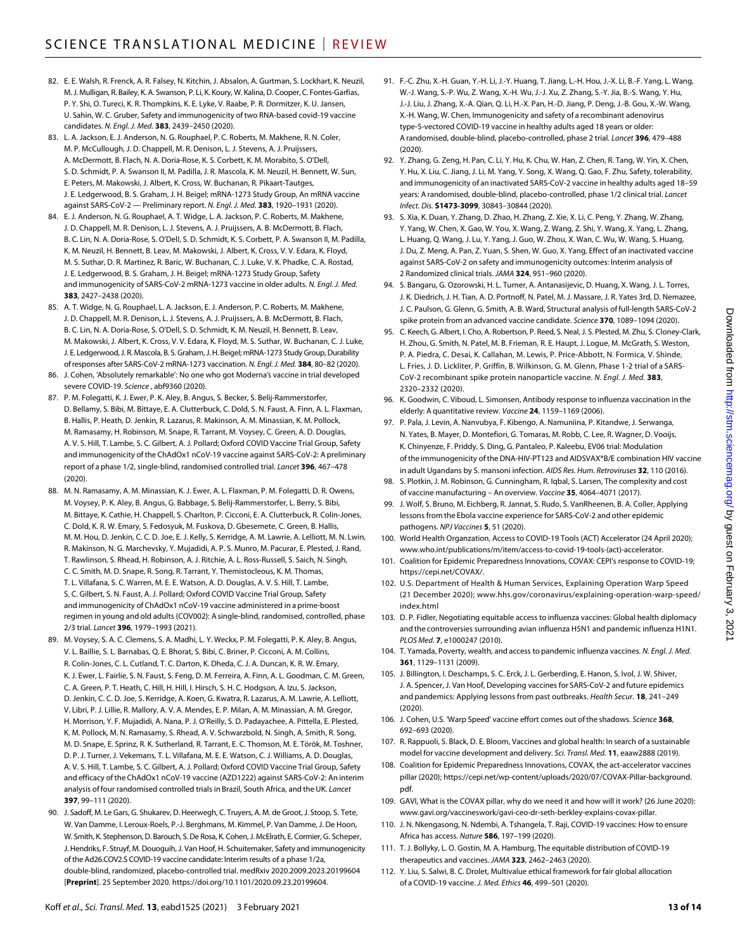- 82. E. E. Walsh, R. Frenck, A. R. Falsey, N. Kitchin, J. Absalon, A. Gurtman, S. Lockhart, K. Neuzil, M.J. Mulligan, R. Bailey, K. A. Swanson, P. Li, K. Koury, W. Kalina, D. Cooper, C. Fontes-Garfias, P. Y. Shi, O. Tureci, K. R. Thompkins, K. E. Lyke, V. Raabe, P. R. Dormitzer, K. U. Jansen, U. Sahin, W. C. Gruber, Safety and immunogenicity of two RNA-based covid-19 vaccine candidates. *N. Engl. J. Med.* **383**, 2439–2450 (2020).
- 83. L. A. Jackson, E. J. Anderson, N. G. Rouphael, P. C. Roberts, M. Makhene, R. N. Coler, M. P. McCullough, J. D. Chappell, M. R. Denison, L. J. Stevens, A. J. Pruijssers, A. McDermott, B. Flach, N. A. Doria-Rose, K. S. Corbett, K. M. Morabito, S. O'Dell, S. D. Schmidt, P. A. Swanson II, M. Padilla, J. R. Mascola, K. M. Neuzil, H. Bennett, W. Sun, E. Peters, M. Makowski, J. Albert, K. Cross, W. Buchanan, R. Pikaart-Tautges, J. E. Ledgerwood, B. S. Graham, J. H. Beigel; mRNA-1273 Study Group, An mRNA vaccine against SARS-CoV-2 — Preliminary report. *N. Engl. J. Med.* **383**, 1920–1931 (2020).
- 84. E. J. Anderson, N. G. Rouphael, A. T. Widge, L. A. Jackson, P. C. Roberts, M. Makhene, J. D. Chappell, M. R. Denison, L. J. Stevens, A. J. Pruijssers, A. B. McDermott, B. Flach, B. C. Lin, N. A. Doria-Rose, S. O'Dell, S. D. Schmidt, K. S. Corbett, P. A. Swanson II, M. Padilla, K. M. Neuzil, H. Bennett, B. Leav, M. Makowski, J. Albert, K. Cross, V. V. Edara, K. Floyd, M. S. Suthar, D. R. Martinez, R. Baric, W. Buchanan, C. J. Luke, V. K. Phadke, C. A. Rostad, J. E. Ledgerwood, B. S. Graham, J. H. Beigel; mRNA-1273 Study Group, Safety and immunogenicity of SARS-CoV-2 mRNA-1273 vaccine in older adults. *N. Engl. J. Med.* **383**, 2427–2438 (2020).
- 85. A. T. Widge, N. G. Rouphael, L. A. Jackson, E. J. Anderson, P. C. Roberts, M. Makhene, J. D. Chappell, M. R. Denison, L. J. Stevens, A. J. Pruijssers, A. B. McDermott, B. Flach, B. C. Lin, N. A. Doria-Rose, S. O'Dell, S. D. Schmidt, K. M. Neuzil, H. Bennett, B. Leav, M. Makowski, J. Albert, K. Cross, V. V. Edara, K. Floyd, M. S. Suthar, W. Buchanan, C. J. Luke, J. E. Ledgerwood, J. R. Mascola, B. S.Graham, J.H. Beigel; mRNA-1273 Study Group, Durability ofresponses after SARS-CoV-2 mRNA-1273 vaccination. *N. Engl. J. Med.* **384**, 80–82 (2020).
- 86. J. Cohen, 'Absolutely remarkable': No one who got Moderna's vaccine in trial developed severe COVID-19. *Science* , abf9360 (2020).
- 87. P. M. Folegatti, K. J. Ewer, P. K. Aley, B. Angus, S. Becker, S. Belij-Rammerstorfer, D. Bellamy, S. Bibi, M. Bittaye, E. A. Clutterbuck, C. Dold, S. N. Faust, A. Finn, A. L. Flaxman, B. Hallis, P. Heath, D. Jenkin, R. Lazarus, R. Makinson, A. M. Minassian, K. M. Pollock, M. Ramasamy, H. Robinson, M. Snape, R. Tarrant, M. Voysey, C. Green, A. D. Douglas, A. V. S. Hill, T. Lambe, S. C. Gilbert, A. J. Pollard; Oxford COVID Vaccine Trial Group, Safety and immunogenicity of the ChAdOx1 nCoV-19 vaccine against SARS-CoV-2: A preliminary report of a phase 1/2, single-blind, randomised controlled trial. *Lancet* **396**, 467–478 (2020).
- 88. M. N. Ramasamy, A. M. Minassian, K. J. Ewer, A. L. Flaxman, P. M. Folegatti, D. R. Owens, M. Voysey, P. K. Aley, B. Angus, G. Babbage, S. Belij-Rammerstorfer, L. Berry, S. Bibi, M. Bittaye, K. Cathie, H. Chappell, S. Charlton, P. Cicconi, E. A. Clutterbuck, R. Colin-Jones, C. Dold, K. R. W. Emary, S. Fedosyuk, M. Fuskova, D. Gbesemete, C. Green, B. Hallis, M. M. Hou, D. Jenkin, C. C. D. Joe, E. J. Kelly, S. Kerridge, A. M. Lawrie, A. Lelliott, M. N. Lwin, R. Makinson, N. G. Marchevsky, Y. Mujadidi, A. P. S. Munro, M. Pacurar, E. Plested, J. Rand, T. Rawlinson, S. Rhead, H. Robinson, A. J. Ritchie, A. L. Ross-Russell, S. Saich, N. Singh, C. C. Smith, M. D. Snape, R. Song, R. Tarrant, Y. Themistocleous, K. M. Thomas, T. L. Villafana, S. C. Warren, M. E. E. Watson, A. D. Douglas, A. V. S. Hill, T. Lambe, S. C. Gilbert, S. N. Faust, A. J. Pollard; Oxford COVID Vaccine Trial Group, Safety and immunogenicity of ChAdOx1 nCoV-19 vaccine administered in a prime-boost regimen in young and old adults (COV002): A single-blind, randomised, controlled, phase 2/3 trial. *Lancet* **396**, 1979–1993 (2021).
- 89. M. Voysey, S. A. C. Clemens, S. A. Madhi, L. Y. Weckx, P. M. Folegatti, P. K. Aley, B. Angus, V. L. Baillie, S. L. Barnabas, Q. E. Bhorat, S. Bibi, C. Briner, P. Cicconi, A. M. Collins, R. Colin-Jones, C. L. Cutland, T. C. Darton, K. Dheda, C. J. A. Duncan, K. R. W. Emary, K. J. Ewer, L. Fairlie, S. N. Faust, S. Feng, D. M. Ferreira, A. Finn, A. L. Goodman, C. M. Green, C. A. Green, P. T. Heath, C. Hill, H. Hill, I. Hirsch, S. H. C. Hodgson, A. Izu, S. Jackson, D. Jenkin, C. C. D. Joe, S. Kerridge, A. Koen, G. Kwatra, R. Lazarus, A. M. Lawrie, A. Lelliott, V. Libri, P. J. Lillie, R. Mallory, A. V. A. Mendes, E. P. Milan, A. M. Minassian, A. M. Gregor, H. Morrison, Y. F. Mujadidi, A. Nana, P. J. O'Reilly, S. D. Padayachee, A. Pittella, E. Plested, K. M. Pollock, M. N. Ramasamy, S. Rhead, A. V. Schwarzbold, N. Singh, A. Smith, R. Song, M. D. Snape, E. Sprinz, R. K. Sutherland, R. Tarrant, E. C. Thomson, M. E. Török, M. Toshner, D. P. J. Turner, J. Vekemans, T. L. Villafana, M. E. E. Watson, C. J. Williams, A. D. Douglas, A. V. S. Hill, T. Lambe, S. C. Gilbert, A. J. Pollard; Oxford COVID Vaccine Trial Group, Safety and efficacy of the ChAdOx1 nCoV-19 vaccine (AZD1222) against SARS-CoV-2: An interim analysis of four randomised controlled trials in Brazil, South Africa, and the UK. *Lancet* **397**, 99–111 (2020).
- 90. J. Sadoff, M. Le Gars, G. Shukarev, D. Heerwegh, C. Truyers, A. M. de Groot, J. Stoop, S. Tete, W. Van Damme, I. Leroux-Roels, P.-J. Berghmans, M. Kimmel, P. Van Damme, J. De Hoon, W. Smith, K. Stephenson, D. Barouch, S.De Rosa, K. Cohen, J. McElrath, E. Cormier, G. Scheper, J. Hendriks, F. Struyf, M. Douoguih, J. Van Hoof, H. Schuitemaker, Safety and immunogenicity of the Ad26.COV2.S COVID-19 vaccine candidate: Interim results of a phase 1/2a, double-blind, randomized, placebo-controlled trial. medRxiv 2020.2009.2023.20199604 [**Preprint**]. 25 September 2020. [https://doi.org/10.1101/2020.09.23.20199604.](https://doi.org/10.1101/2020.09.23.20199604)
- 91. F.-C. Zhu, X.-H. Guan, Y.-H. Li, J.-Y. Huang, T. Jiang, L.-H. Hou, J.-X. Li, B.-F. Yang, L. Wang, W.-J. Wang, S.-P. Wu, Z. Wang, X.-H. Wu, J.-J. Xu, Z. Zhang, S.-Y. Jia, B.-S. Wang, Y. Hu, J.-J. Liu, J. Zhang, X.-A. Qian, Q. Li, H.-X. Pan, H.-D. Jiang, P. Deng, J.-B. Gou, X.-W. Wang, X.-H. Wang, W. Chen, Immunogenicity and safety of a recombinant adenovirus type-5-vectored COVID-19 vaccine in healthy adults aged 18 years or older: A randomised, double-blind, placebo-controlled, phase 2 trial. *Lancet* **396**, 479–488 (2020).
- 92. Y. Zhang, G. Zeng, H. Pan, C. Li, Y. Hu, K. Chu, W. Han, Z. Chen, R. Tang, W. Yin, X. Chen, Y. Hu, X. Liu, C. Jiang, J. Li, M. Yang, Y. Song, X. Wang, Q. Gao, F. Zhu, Safety, tolerability, and immunogenicity of an inactivated SARS-CoV-2 vaccine in healthy adults aged 18–59 years: A randomised, double-blind, placebo-controlled, phase 1/2 clinical trial. *Lancet Infect. Dis.* **S1473-3099**, 30843–30844 (2020).
- 93. S. Xia, K. Duan, Y. Zhang, D. Zhao, H. Zhang, Z. Xie, X. Li, C. Peng, Y. Zhang, W. Zhang, Y. Yang, W. Chen, X. Gao, W. You, X. Wang, Z. Wang, Z. Shi, Y. Wang, X. Yang, L. Zhang, L. Huang, Q. Wang, J. Lu, Y. Yang, J. Guo, W. Zhou, X. Wan, C. Wu, W. Wang, S. Huang, J. Du, Z. Meng, A. Pan, Z. Yuan, S. Shen, W. Guo, X. Yang, Effect of an inactivated vaccine against SARS-CoV-2 on safety and immunogenicity outcomes: Interim analysis of 2 Randomized clinical trials. *JAMA* **324**, 951–960 (2020).
- 94. S. Bangaru, G. Ozorowski, H. L. Turner, A. Antanasijevic, D. Huang, X. Wang, J. L. Torres, J. K. Diedrich, J. H. Tian, A. D. Portnoff, N. Patel, M. J. Massare, J. R. Yates 3rd, D. Nemazee, J. C. Paulson, G. Glenn, G. Smith, A. B. Ward, Structural analysis of full-length SARS-CoV-2 spike protein from an advanced vaccine candidate. *Science* **370**, 1089–1094 (2020).
- 95. C. Keech, G. Albert, I. Cho, A. Robertson, P. Reed, S. Neal, J. S. Plested, M. Zhu, S. Cloney-Clark, H. Zhou, G. Smith, N. Patel, M. B. Frieman, R. E. Haupt, J. Logue, M. McGrath, S. Weston, P. A. Piedra, C. Desai, K. Callahan, M. Lewis, P. Price-Abbott, N. Formica, V. Shinde, L. Fries, J. D. Lickliter, P. Griffin, B. Wilkinson, G. M. Glenn, Phase 1-2 trial of a SARS-CoV-2 recombinant spike protein nanoparticle vaccine. *N. Engl. J. Med.* **383**, 2320–2332 (2020).
- 96. K. Goodwin, C. Viboud, L. Simonsen, Antibody response to influenza vaccination in the elderly: A quantitative review. *Vaccine* **24**, 1159–1169 (2006).
- 97. P. Pala, J. Levin, A. Nanvubya, F. Kibengo, A. Namuniina, P. Kitandwe, J. Serwanga, N. Yates, B. Mayer, D. Montefiori, G. Tomaras, M. Robb, C. Lee, R. Wagner, D. Vooijs, K. Chinyenze, F. Priddy, S. Ding, G. Pantaleo, P. Kaleebu, EV06 trial: Modulation of the immunogenicity of the DNA-HIV-PT123 and AIDSVAX®B/E combination HIV vaccine in adult Ugandans by S. mansoni infection. *AIDS Res. Hum. Retroviruses* **32**, 110 (2016).
- 98. S. Plotkin, J. M. Robinson, G. Cunningham, R. Iqbal, S. Larsen, The complexity and cost of vaccine manufacturing – An overview. *Vaccine* **35**, 4064–4071 (2017).
- 99. J. Wolf, S. Bruno, M. Eichberg, R. Jannat, S. Rudo, S. VanRheenen, B. A. Coller, Applying lessons from the Ebola vaccine experience for SARS-CoV-2 and other epidemic pathogens. *NPJ Vaccines* **5**, 51 (2020).
- 100. World Health Organzation, Access to COVID-19 Tools (ACT) Accelerator (24 April 2020); [www.who.int/publications/m/item/access-to-covid-19-tools-\(act\)-accelerator](https://www.who.int/publications/m/item/access-to-covid-19-tools-(act)-accelerator).
- 101. Coalition for Epidemic Preparedness Innovations, COVAX: CEPI's response to COVID-19; [https://cepi.net/COVAX/.](https://cepi.net/COVAX/)
- 102. U.S. Department of Health & Human Services, Explaining Operation Warp Speed (21 December 2020); [www.hhs.gov/coronavirus/explaining-operation-warp-speed/](https://www.hhs.gov/coronavirus/explaining-operation-warp-speed/index.html) [index.html](https://www.hhs.gov/coronavirus/explaining-operation-warp-speed/index.html)
- 103. D. P. Fidler, Negotiating equitable access to influenza vaccines: Global health diplomacy and the controversies surrounding avian influenza H5N1 and pandemic influenza H1N1. *PLOS Med.* **7**, e1000247 (2010).
- 104. T. Yamada, Poverty, wealth, and access to pandemic influenza vaccines. *N. Engl. J. Med.* **361**, 1129–1131 (2009).
- 105. J. Billington, I. Deschamps, S. C. Erck, J. L. Gerberding, E. Hanon, S. Ivol, J. W. Shiver, J. A. Spencer, J. Van Hoof, Developing vaccines for SARS-CoV-2 and future epidemics and pandemics: Applying lessons from past outbreaks. *Health Secur.* **18**, 241–249 (2020).
- 106. J. Cohen, U.S. 'Warp Speed' vaccine effort comes out of the shadows. *Science* **368**, 692–693 (2020).
- 107. R. Rappuoli, S. Black, D. E. Bloom, Vaccines and global health: In search of a sustainable model for vaccine development and delivery. *Sci. Transl. Med.* **11**, eaaw2888 (2019).
- 108. Coalition for Epidemic Preparedness Innovations, COVAX, the act-accelerator vaccines pillar (2020); [https://cepi.net/wp-content/uploads/2020/07/COVAX-Pillar-background.](https://cepi.net/wp-content/uploads/2020/07/COVAX-Pillar-background.pdf) [pdf](https://cepi.net/wp-content/uploads/2020/07/COVAX-Pillar-background.pdf).
- 109. GAVI, What is the COVAX pillar, why do we need it and how will it work? (26 June 2020): [www.gavi.org/vaccineswork/gavi-ceo-dr-seth-berkley-explains-covax-pillar](https://www.gavi.org/vaccineswork/gavi-ceo-dr-seth-berkley-explains-covax-pillar).
- 110. J. N. Nkengasong, N. Ndembi, A. Tshangela, T. Raji, COVID-19 vaccines: How to ensure Africa has access. *Nature* **586**, 197–199 (2020).
- 111. T. J. Bollyky, L. O. Gostin, M. A. Hamburg, The equitable distribution of COVID-19 therapeutics and vaccines. *JAMA* **323**, 2462–2463 (2020).
- 112. Y. Liu, S. Salwi, B. C. Drolet, Multivalue ethical framework for fair global allocation of a COVID-19 vaccine. *J. Med. Ethics* **46**, 499–501 (2020).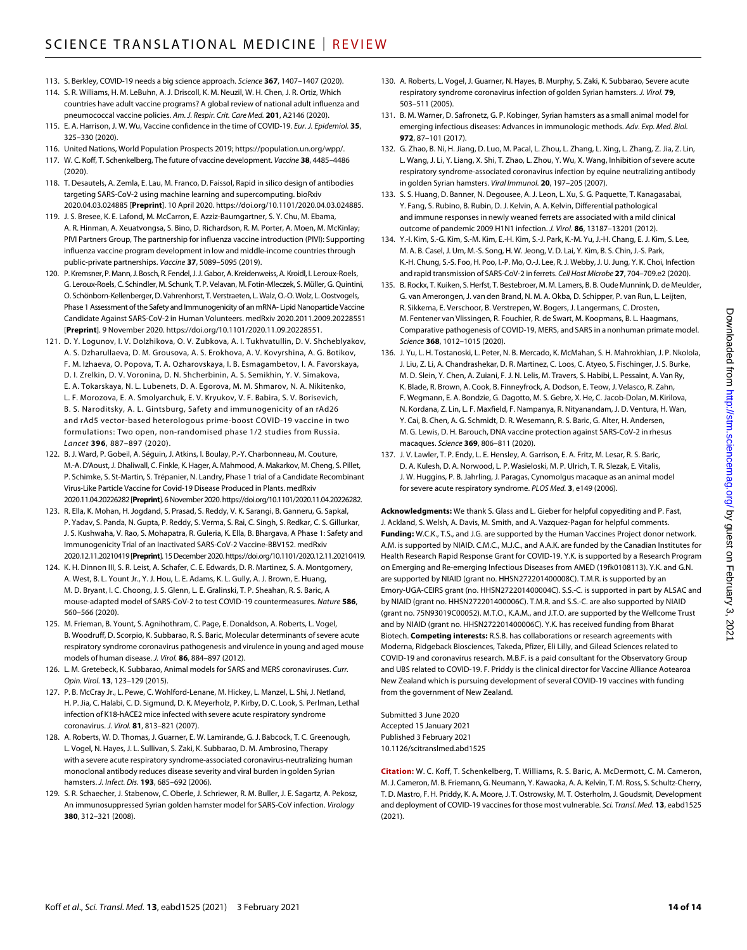- 113. S. Berkley, COVID-19 needs a big science approach. *Science* **367**, 1407–1407 (2020).
- 114. S. R. Williams, H. M. LeBuhn, A. J. Driscoll, K. M. Neuzil, W. H. Chen, J. R. Ortiz, Which countries have adult vaccine programs? A global review of national adult influenza and pneumococcal vaccine policies. *Am. J. Respir. Crit. Care Med.* **201**, A2146 (2020).
- 115. E. A. Harrison, J. W. Wu, Vaccine confidence in the time of COVID-19. *Eur. J. Epidemiol.* **35**, 325–330 (2020).
- 116. United Nations, World Population Prospects 2019; [https://population.un.org/wpp/.](https://population.un.org/wpp/)
- 117. W. C. Koff, T. Schenkelberg, The future of vaccine development. *Vaccine* **38**, 4485–4486 (2020).
- 118. T. Desautels, A. Zemla, E. Lau, M. Franco, D. Faissol, Rapid in silico design of antibodies targeting SARS-CoV-2 using machine learning and supercomputing. bioRxiv 2020.04.03.024885 [**Preprint**]. 10 April 2020. https://doi.org/10.1101/2020.04.03.024885.
- 119. J. S. Bresee, K. E. Lafond, M. McCarron, E. Azziz-Baumgartner, S. Y. Chu, M. Ebama, A. R. Hinman, A. Xeuatvongsa, S. Bino, D. Richardson, R. M. Porter, A. Moen, M. McKinlay; PIVI Partners Group, The partnership for influenza vaccine introduction (PIVI): Supporting influenza vaccine program development in low and middle-income countries through public-private partnerships. *Vaccine* **37**, 5089–5095 (2019).
- 120. P. Kremsner, P. Mann, J. Bosch, R. Fendel, J.J. Gabor, A. Kreidenweiss, A. Kroidl, I. Leroux-Roels, G. Leroux-Roels, C. Schindler, M. Schunk, T. P. Velavan, M. Fotin-Mleczek, S. Müller, G.Quintini, O. Schönborn-Kellenberger, D. Vahrenhorst, T. Verstraeten, L. Walz, O.-O. Wolz, L.Oostvogels, Phase 1 Assessment of the Safety and Immunogenicity of an mRNA- Lipid Nanoparticle Vaccine Candidate Against SARS-CoV-2 in Human Volunteers. medRxiv 2020.2011.2009.20228551 [**Preprint**]. 9 November 2020. [https://doi.org/10.1101/2020.11.09.20228551.](https://doi.org/10.1101/2020.11.09.20228551)
- 121. D. Y. Logunov, I. V. Dolzhikova, O. V. Zubkova, A. I. Tukhvatullin, D. V. Shcheblyakov, A. S. Dzharullaeva, D. M. Grousova, A. S. Erokhova, A. V. Kovyrshina, A. G. Botikov, F. M. Izhaeva, O. Popova, T. A. Ozharovskaya, I. B. Esmagambetov, I. A. Favorskaya, D. I. Zrelkin, D. V. Voronina, D. N. Shcherbinin, A. S. Semikhin, Y. V. Simakova, E. A. Tokarskaya, N. L. Lubenets, D. A. Egorova, M. M. Shmarov, N. A. Nikitenko, L. F. Morozova, E. A. Smolyarchuk, E. V. Kryukov, V. F. Babira, S. V. Borisevich, B. S. Naroditsky, A. L. Gintsburg, Safety and immunogenicity of an rAd26 and rAd5 vector-based heterologous prime-boost COVID-19 vaccine in two formulations: Two open, non-randomised phase 1/2 studies from Russia. *Lancet* **396**, 887–897 (2020).
- 122. B. J. Ward, P. Gobeil, A. Séguin, J. Atkins, I. Boulay, P.-Y. Charbonneau, M. Couture, M.-A. D'Aoust, J. Dhaliwall, C. Finkle, K. Hager, A. Mahmood, A. Makarkov, M. Cheng, S. Pillet, P. Schimke, S. St-Martin, S. Trépanier, N. Landry, Phase 1 trial of a Candidate Recombinant Virus-Like Particle Vaccine for Covid-19 Disease Produced in Plants. medRxiv 2020.11.04.20226282 [**Preprint**]. 6 November 2020. [https://doi.org/10.1101/2020.11.04.20226282.](https://doi.org/10.1101/2020.11.04.20226282)
- 123. R. Ella, K. Mohan, H. Jogdand, S. Prasad, S. Reddy, V. K. Sarangi, B. Ganneru, G. Sapkal, P. Yadav, S. Panda, N. Gupta, P. Reddy, S. Verma, S. Rai, C. Singh, S. Redkar, C. S. Gillurkar, J. S. Kushwaha, V. Rao, S. Mohapatra, R. Guleria, K. Ella, B. Bhargava, A Phase 1: Safety and Immunogenicity Trial of an Inactivated SARS-CoV-2 Vaccine-BBV152. medRxiv 2020.12.11.20210419 [**Preprint**]. 15 December 2020. https://doi.org/10.1101/2020.12.11.20210419.
- 124. K. H. Dinnon III, S. R. Leist, A. Schafer, C. E. Edwards, D. R. Martinez, S. A. Montgomery, A. West, B. L. Yount Jr., Y. J. Hou, L. E. Adams, K. L. Gully, A. J. Brown, E. Huang, M. D. Bryant, I. C. Choong, J. S. Glenn, L. E. Gralinski, T. P. Sheahan, R. S. Baric, A mouse-adapted model of SARS-CoV-2 to test COVID-19 countermeasures. *Nature* **586**, 560–566 (2020).
- 125. M. Frieman, B. Yount, S. Agnihothram, C. Page, E. Donaldson, A. Roberts, L. Vogel, B. Woodruff, D. Scorpio, K. Subbarao, R. S. Baric, Molecular determinants ofsevere acute respiratory syndrome coronavirus pathogenesis and virulence in young and aged mouse models of human disease. *J. Virol.* **86**, 884–897 (2012).
- 126. L. M. Gretebeck, K. Subbarao, Animal models for SARS and MERS coronaviruses. *Curr. Opin. Virol.* **13**, 123–129 (2015).
- 127. P. B. McCray Jr., L. Pewe, C. Wohlford-Lenane, M. Hickey, L. Manzel, L. Shi, J. Netland, H. P. Jia, C. Halabi, C. D. Sigmund, D. K. Meyerholz, P. Kirby, D. C. Look, S. Perlman, Lethal infection of K18-hACE2 mice infected with severe acute respiratory syndrome coronavirus. *J. Virol.* **81**, 813–821 (2007).
- 128. A. Roberts, W. D. Thomas, J. Guarner, E. W. Lamirande, G. J. Babcock, T. C. Greenough, L. Vogel, N. Hayes, J. L. Sullivan, S. Zaki, K. Subbarao, D. M. Ambrosino, Therapy with a severe acute respiratory syndrome-associated coronavirus-neutralizing human monoclonal antibody reduces disease severity and viral burden in golden Syrian hamsters. *J. Infect. Dis.* **193**, 685–692 (2006).
- 129. S. R. Schaecher, J. Stabenow, C. Oberle, J. Schriewer, R. M. Buller, J. E. Sagartz, A. Pekosz, An immunosuppressed Syrian golden hamster model for SARS-CoV infection. *Virology* **380**, 312–321 (2008).
- 130. A. Roberts, L. Vogel, J. Guarner, N. Hayes, B. Murphy, S. Zaki, K. Subbarao, Severe acute respiratory syndrome coronavirus infection of golden Syrian hamsters. *J. Virol.* **79**, 503–511 (2005).
- 131. B. M. Warner, D. Safronetz, G. P. Kobinger, Syrian hamsters as a small animal model for emerging infectious diseases: Advances in immunologic methods. *Adv. Exp. Med. Biol.* **972**, 87–101 (2017).
- 132. G. Zhao, B. Ni, H. Jiang, D. Luo, M. Pacal, L. Zhou, L. Zhang, L. Xing, L. Zhang, Z. Jia, Z. Lin, L. Wang, J. Li, Y. Liang, X. Shi, T. Zhao, L. Zhou, Y. Wu, X. Wang, Inhibition of severe acute respiratory syndrome-associated coronavirus infection by equine neutralizing antibody in golden Syrian hamsters. *Viral Immunol.* **20**, 197–205 (2007).
- 133. S. S. Huang, D. Banner, N. Degousee, A. J. Leon, L. Xu, S. G. Paquette. T. Kanagasabai. Y. Fang, S. Rubino, B. Rubin, D. J. Kelvin, A. A. Kelvin, Differential pathological and immune responses in newly weaned ferrets are associated with a mild clinical outcome of pandemic 2009 H1N1 infection. *J. Virol.* **86**, 13187–13201 (2012).
- 134. Y.-I. Kim, S.-G. Kim, S.-M. Kim, E.-H. Kim, S.-J. Park, K.-M. Yu, J.-H. Chang, E. J. Kim, S. Lee, M. A. B. Casel, J. Um, M.-S. Song, H. W. Jeong, V. D. Lai, Y. Kim, B. S. Chin, J.-S. Park, K.-H. Chung, S.-S. Foo, H. Poo, I.-P. Mo, O.-J. Lee, R. J. Webby, J. U. Jung, Y. K. Choi, Infection and rapid transmission of SARS-CoV-2 in ferrets. *Cell Host Microbe* **27**, 704–709.e2 (2020).
- 135. B. Rockx, T. Kuiken, S. Herfst, T. Bestebroer, M. M. Lamers, B. B. Oude Munnink, D. de Meulder, G. van Amerongen, J. van den Brand, N. M. A. Okba, D. Schipper, P. van Run, L. Leijten, R. Sikkema, E. Verschoor, B. Verstrepen, W. Bogers, J. Langermans, C. Drosten, M. Fentener van Vlissingen, R. Fouchier, R. de Swart, M. Koopmans, B. L. Haagmans, Comparative pathogenesis of COVID-19, MERS, and SARS in a nonhuman primate model. *Science* **368**, 1012–1015 (2020).
- 136. J. Yu, L. H. Tostanoski, L. Peter, N. B. Mercado, K. McMahan, S. H. Mahrokhian, J. P. Nkolola, J. Liu, Z. Li, A. Chandrashekar, D. R. Martinez, C. Loos, C. Atyeo, S. Fischinger, J. S. Burke, M. D. Slein, Y. Chen, A. Zuiani, F. J. N. Lelis, M. Travers, S. Habibi, L. Pessaint, A. Van Ry, K. Blade, R. Brown, A. Cook, B. Finneyfrock, A. Dodson, E. Teow, J. Velasco, R. Zahn, F. Wegmann, E. A. Bondzie, G. Dagotto, M. S. Gebre, X. He, C. Jacob-Dolan, M. Kirilova, N. Kordana, Z. Lin, L. F. Maxfield, F. Nampanya, R. Nityanandam, J. D. Ventura, H. Wan, Y. Cai, B. Chen, A. G. Schmidt, D. R. Wesemann, R. S. Baric, G. Alter, H. Andersen, M. G. Lewis, D. H. Barouch, DNA vaccine protection against SARS-CoV-2 in rhesus macaques. *Science* **369**, 806–811 (2020).
- 137. J. V. Lawler, T. P. Endy, L. E. Hensley, A. Garrison, E. A. Fritz, M. Lesar, R. S. Baric, D. A. Kulesh, D. A. Norwood, L. P. Wasieloski, M. P. Ulrich, T. R. Slezak, E. Vitalis, J. W. Huggins, P. B. Jahrling, J. Paragas, Cynomolgus macaque as an animal model forsevere acute respiratory syndrome. *PLOS Med.* **3**, e149 (2006).

**Acknowledgments:** We thank S. Glass and L. Gieber for helpful copyediting and P. Fast, J. Ackland, S. Welsh, A. Davis, M. Smith, and A. Vazquez-Pagan for helpful comments. **Funding:** W.C.K., T.S., and J.G. are supported by the Human Vaccines Project donor network. A.M. is supported by NIAID. C.M.C., M.J.C., and A.A.K. are funded by the Canadian Institutes for Health Research Rapid Response Grant for COVID-19. Y.K. is supported by a Research Program on Emerging and Re-emerging Infectious Diseases from AMED (19fk0108113). Y.K. and G.N. are supported by NIAID (grant no. HHSN272201400008C). T.M.R. is supported by an Emory-UGA-CEIRS grant (no. HHSN272201400004C). S.S.-C. is supported in part by ALSAC and by NIAID (grant no. HHSN272201400006C). T.M.R. and S.S.-C. are also supported by NIAID (grant no. 75N93019C00052). M.T.O., K.A.M., and J.T.O. are supported by the Wellcome Trust and by NIAID (grant no. HHSN272201400006C). Y.K. has received funding from Bharat Biotech. **Competing interests:** R.S.B. has collaborations or research agreements with Moderna, Ridgeback Biosciences, Takeda, Pfizer, Eli Lilly, and Gilead Sciences related to COVID-19 and coronavirus research. M.B.F. is a paid consultant for the Observatory Group and UBS related to COVID-19. F. Priddy is the clinical director for Vaccine Alliance Aotearoa New Zealand which is pursuing development of several COVID-19 vaccines with funding from the government of New Zealand.

Submitted 3 June 2020 Accepted 15 January 2021 Published 3 February 2021 10.1126/scitranslmed.abd1525

**Citation:** W. C. Koff, T. Schenkelberg, T. Williams, R. S. Baric, A. McDermott, C. M. Cameron, M. J. Cameron, M. B. Friemann, G. Neumann, Y. Kawaoka, A. A. Kelvin, T. M. Ross, S. Schultz-Cherry, T. D. Mastro, F. H. Priddy, K. A. Moore, J. T. Ostrowsky, M. T. Osterholm, J. Goudsmit, Development and deployment of COVID-19 vaccines for those most vulnerable. *Sci. Transl. Med.* **13**, eabd1525 (2021).